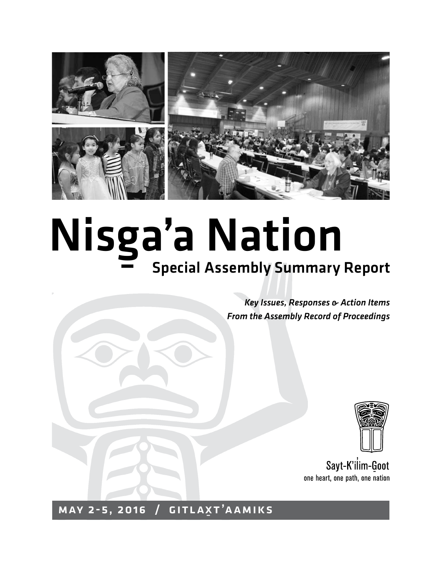

## Nisg <u>s</u><br>a'a Nation Special Assembly Summary Report

*Key Issues, Responses & Action Items From the Assembly Record of Proceedings*



Sayt-K'ilim-Goot one heart, one path, one nation

MAY 2-5, 2016 GITLAXT'AAMIKS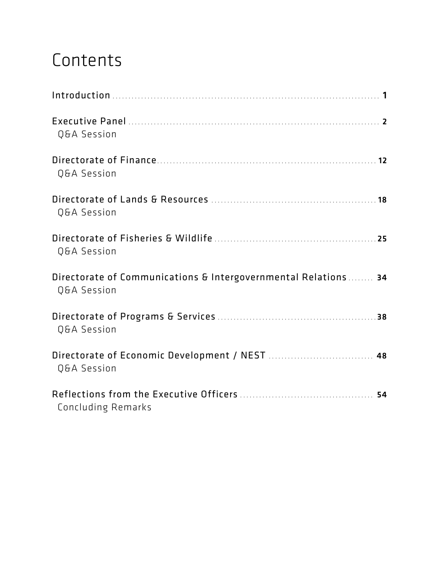# Contents

| Q&A Session                                                                   |
|-------------------------------------------------------------------------------|
| Q&A Session                                                                   |
| Q&A Session                                                                   |
| Q&A Session                                                                   |
| Directorate of Communications & Intergovernmental Relations 34<br>Q&A Session |
| Q&A Session                                                                   |
| Directorate of Economic Development / NEST  48<br>Q&A Session                 |
| Concluding Remarks                                                            |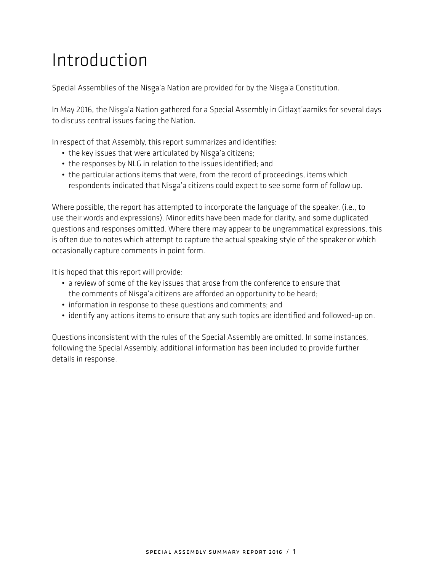# Introduction

Special Assemblies of the Nisga'a Nation are provided for by the Nisga'a Constitution.<br>.

In May 2016, the Nisga'a Nation gathered for a Special Assembly in Gitlaxt'aamiks for several days<br>In diec se as idealises as festivally Nation to discuss central issues facing the Nation.

In respect of that Assembly, this report summarizes and identifies:

- the key issues that were articulated by Nisga'a citizens;<br>
- the responses by NLG in relation to the issues identified; and
- the particular actions items that were, from the record of proceedings, items which respondents indicated that Nisga'a citizens could expect to see some form of follow up.<br>.

Where possible, the report has attempted to incorporate the language of the speaker, (i.e., to use their words and expressions). Minor edits have been made for clarity, and some duplicated questions and responses omitted. Where there may appear to be ungrammatical expressions, this is often due to notes which attempt to capture the actual speaking style of the speaker or which occasionally capture comments in point form.

It is hoped that this report will provide:

- a review of some of the key issues that arose from the conference to ensure that the comments of Nisga'a citizens are afforded an opportunity to be heard;<br>is famoulisation as a contribution of the contribution of comments and
- information in response to these questions and comments; and
- identify any actions items to ensure that any such topics are identified and followed-up on.

Questions inconsistent with the rules of the Special Assembly are omitted. In some instances, following the Special Assembly, additional information has been included to provide further details in response.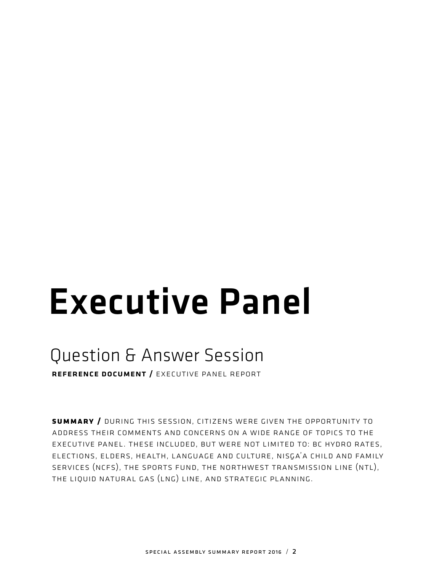# Executive Panel

# Question & Answer Session

reference document / executive panel report

**summary /** during this session, citizens were given the opportunity to address their comments and concerns on a wide range of topics to the executive panel. these included, but were not limited to: bc hydro rates, ELECTIONS, ELDERS, HEALTH, LANGUAGE AND CULTURE, NISGA'A CHILD AND FAMILY services (ncfs), the sports fund, the northwest transmission line (ntl), the liquid natural gas (lng) line, and strategic planning.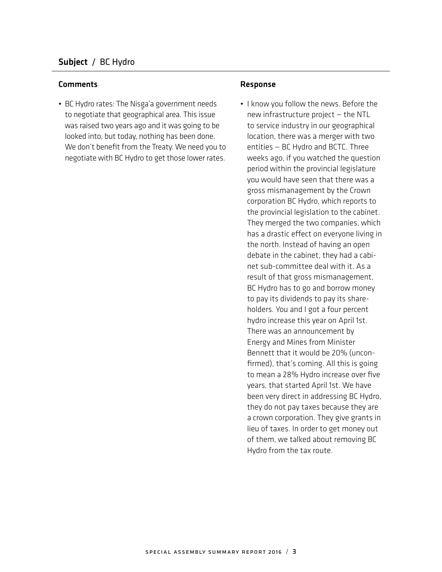#### Comments **Comments Response**

• BC Hydro rates: The Nisga'a government needs<br>- This is a goth of the transmitted and This is a to negotiate that geographical area. This issue was raised two years ago and it was going to be looked into, but today, nothing has been done. We don't benefit from the Treaty. We need you to negotiate with BC Hydro to get those lower rates.

• I know you follow the news. Before the new infrastructure project — the NTL to service industry in our geographical location, there was a merger with two entities — BC Hydro and BCTC. Three weeks ago, if you watched the question period within the provincial legislature you would have seen that there was a gross mismanagement by the Crown corporation BC Hydro, which reports to the provincial legislation to the cabinet. They merged the two companies, which has a drastic effect on everyone living in the north. Instead of having an open debate in the cabinet, they had a cabinet sub-committee deal with it. As a result of that gross mismanagement, BC Hydro has to go and borrow money to pay its dividends to pay its shareholders. You and I got a four percent hydro increase this year on April 1st. There was an announcement by Energy and Mines from Minister Bennett that it would be 20% (unconfirmed), that's coming. All this is going to mean a 28% Hydro increase over five years, that started April 1st. We have been very direct in addressing BC Hydro, they do not pay taxes because they are a crown corporation. They give grants in lieu of taxes. In order to get money out of them, we talked about removing BC Hydro from the tax route.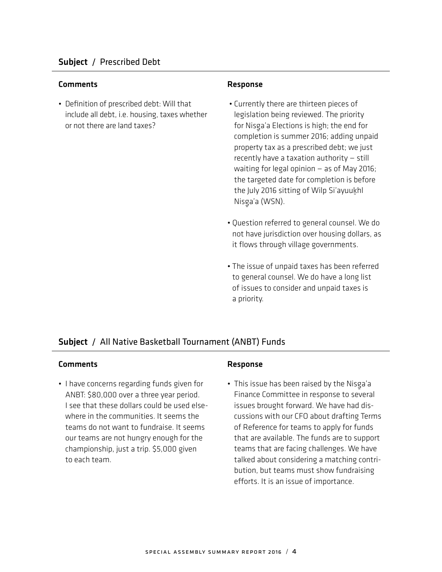• Definition of prescribed debt: Will that include all debt, i.e. housing, taxes whether or not there are land taxes?

- Currently there are thirteen pieces of legislation being reviewed. The priority for Nisga'a Elections is high; the end for completion is summer 2016; adding unpaid property tax as a prescribed debt; we just recently have a taxation authority — still waiting for legal opinion — as of May 2016; the targeted date for completion is before the July 2016 sitting of Wilp Si'ayuukhl Nisga'a (WSN).<br>'
- Question referred to general counsel. We do not have jurisdiction over housing dollars, as it flows through village governments.
- The issue of unpaid taxes has been referred to general counsel. We do have a long list of issues to consider and unpaid taxes is a priority.

## Subject / All Native Basketball Tournament (ANBT) Funds

#### Comments Response

• I have concerns regarding funds given for ANBT: \$80,000 over a three year period. I see that these dollars could be used elsewhere in the communities. It seems the teams do not want to fundraise. It seems our teams are not hungry enough for the championship, just a trip. \$5,000 given to each team.

• This issue has been raised by the Nisga'a Finance Committee in response to several issues brought forward. We have had discussions with our CFO about drafting Terms of Reference for teams to apply for funds that are available. The funds are to support teams that are facing challenges. We have talked about considering a matching contribution, but teams must show fundraising efforts. It is an issue of importance.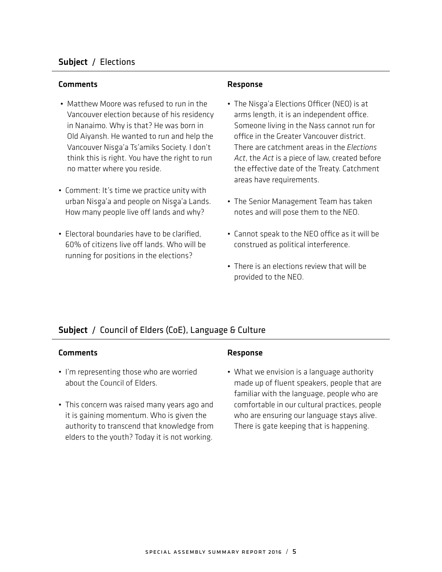## Subject / Elections

### Comments Response

- Matthew Moore was refused to run in the Vancouver election because of his residency in Nanaimo. Why is that? He was born in Old Aiyansh. He wanted to run and help the Vancouver Nisg-a'a Ts'amiks Society. I don't think this is right. You have the right to run no matter where you reside.
- Comment: It's time we practice unity with urban Nisg-a'a and people on Nisg-a'a Lands. How many people live off lands and why?
- Electoral boundaries have to be clarified, 60% of citizens live off lands. Who will be running for positions in the elections?

- The Nisga'a Elections Officer (NEO) is at arms length, it is an independent office. Someone living in the Nass cannot run for office in the Greater Vancouver district. There are catchment areas in the *Elections Act*, the *Act* is a piece of law, created before the effective date of the Treaty. Catchment areas have requirements.
- The Senior Management Team has taken notes and will pose them to the NEO.
- Cannot speak to the NEO office as it will be construed as political interference.
- There is an elections review that will be provided to the NEO.

## Subject / Council of Elders (CoE), Language & Culture

#### Comments **Response**

- I'm representing those who are worried about the Council of Elders.
- This concern was raised many years ago and it is gaining momentum. Who is given the authority to transcend that knowledge from elders to the youth? Today it is not working.

• What we envision is a language authority made up of fluent speakers, people that are familiar with the language, people who are comfortable in our cultural practices, people who are ensuring our language stays alive. There is gate keeping that is happening.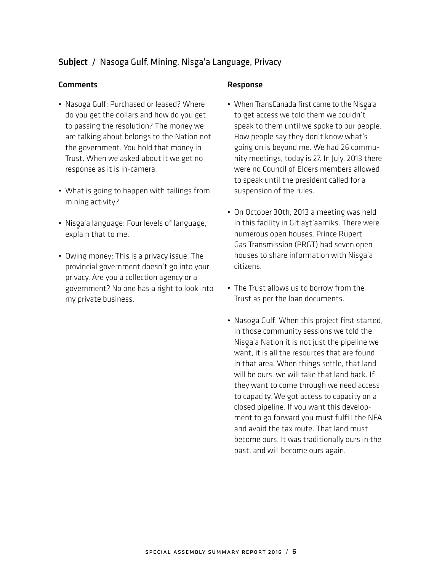## Comments **Comments** Response

- Nasoga Gulf: Purchased or leased? Where do you get the dollars and how do you get to passing the resolution? The money we are talking about belongs to the Nation not the government. You hold that money in Trust. When we asked about it we get no response as it is in-camera.
- What is going to happen with tailings from mining activity?
- Nisga'a language: Four levels of language, explain that to me.
- Owing money: This is a privacy issue. The provincial government doesn't go into your privacy. Are you a collection agency or a government? No one has a right to look into my private business.

- When TransCanada first came to the Nisga'a<br>——————————————————— to get access we told them we couldn't speak to them until we spoke to our people. How people say they don't know what's going on is beyond me. We had 26 community meetings, today is 27. In July, 2013 there were no Council of Elders members allowed to speak until the president called for a suspension of the rules.
- On October 30th, 2013 a meeting was held in this facility in Gitlaxt'aamiks. There were numerous open houses. Prince Rupert Gas Transmission (PRGT) had seven open houses to share information with Nisga'a<br>a' citizens.
- The Trust allows us to borrow from the Trust as per the loan documents.
- Nasoga Gulf: When this project first started, in those community sessions we told the Nisg-a'a Nation it is not just the pipeline we want, it is all the resources that are found in that area. When things settle, that land will be ours, we will take that land back. If they want to come through we need access to capacity. We got access to capacity on a closed pipeline. If you want this development to go forward you must fulfill the NFA and avoid the tax route. That land must become ours. It was traditionally ours in the past, and will become ours again.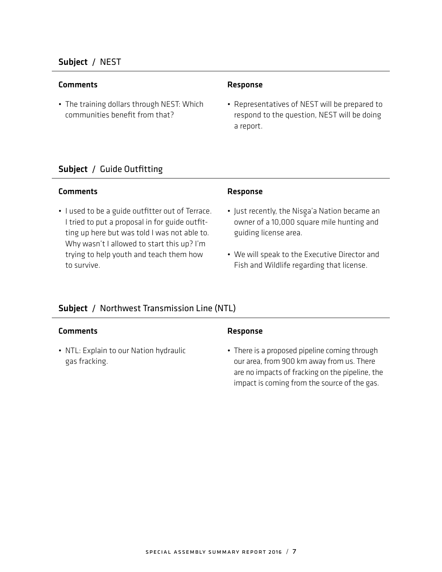## Subject / NEST

#### Comments **Comments** Response

• The training dollars through NEST: Which communities benefit from that?

• Representatives of NEST will be prepared to respond to the question, NEST will be doing a report.

## Subject / Guide Outfitting

#### Comments Response

• I used to be a guide outfitter out of Terrace. I tried to put a proposal in for guide outfitting up here but was told I was not able to. Why wasn't I allowed to start this up? I'm trying to help youth and teach them how to survive.

- Just recently, the Nisga'a Nation became an owner of a 10,000 square mile hunting and guiding license area.
- We will speak to the Executive Director and Fish and Wildlife regarding that license.

## Subject / Northwest Transmission Line (NTL)

## Comments **Comments** Response

• NTL: Explain to our Nation hydraulic gas fracking.

• There is a proposed pipeline coming through our area, from 900 km away from us. There are no impacts of fracking on the pipeline, the impact is coming from the source of the gas.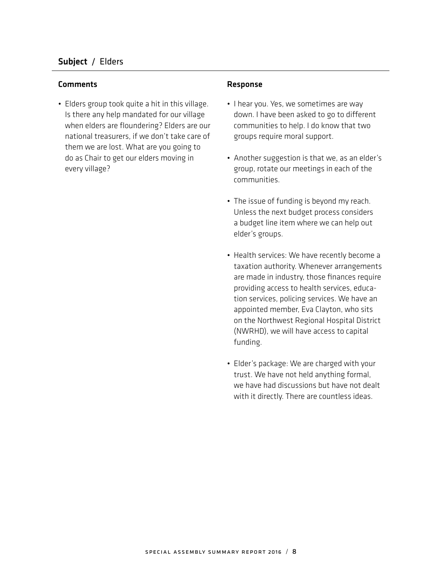• Elders group took quite a hit in this village. Is there any help mandated for our village when elders are floundering? Elders are our national treasurers, if we don't take care of them we are lost. What are you going to do as Chair to get our elders moving in every village?

- I hear you. Yes, we sometimes are way down. I have been asked to go to different communities to help. I do know that two groups require moral support.
- Another suggestion is that we, as an elder's group, rotate our meetings in each of the communities.
- The issue of funding is beyond my reach. Unless the next budget process considers a budget line item where we can help out elder's groups.
- Health services: We have recently become a taxation authority. Whenever arrangements are made in industry, those finances require providing access to health services, education services, policing services. We have an appointed member, Eva Clayton, who sits on the Northwest Regional Hospital District (NWRHD), we will have access to capital funding.
- Elder's package: We are charged with your trust. We have not held anything formal, we have had discussions but have not dealt with it directly. There are countless ideas.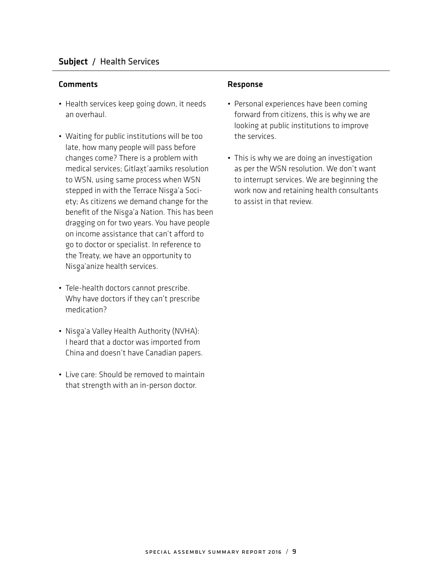- Health services keep going down, it needs an overhaul.
- Waiting for public institutions will be too late, how many people will pass before changes come? There is a problem with medical services; Gitlaxt'aamiks resolution to WSN, using same process when WSN stepped in with the Terrace Nisga'a Society; As citizens we demand change for the benefit of the Nisga'a Nation. This has been<br>description for the Nissan Market served. dragging on for two years. You have people on income assistance that can't afford to go to doctor or specialist. In reference to the Treaty, we have an opportunity to Nisga'anize health services.<br>'
- Tele-health doctors cannot prescribe. Why have doctors if they can't prescribe medication?
- Nisga'a Valley Health Authority (NVHA): I heard that a doctor was imported from China and doesn't have Canadian papers.
- Live care: Should be removed to maintain that strength with an in-person doctor.

- Personal experiences have been coming forward from citizens, this is why we are looking at public institutions to improve the services.
- This is why we are doing an investigation as per the WSN resolution. We don't want to interrupt services. We are beginning the work now and retaining health consultants to assist in that review.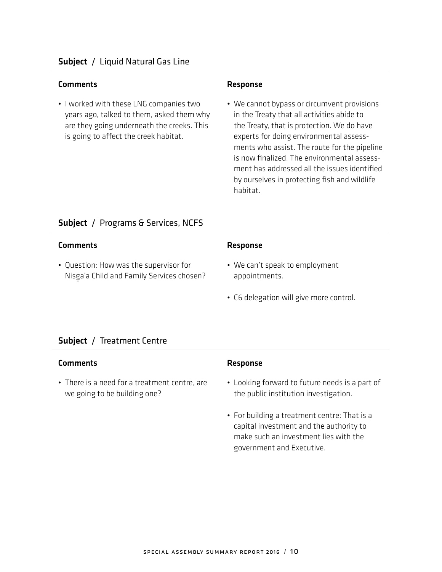• I worked with these LNG companies two years ago, talked to them, asked them why are they going underneath the creeks. This is going to affect the creek habitat.

• We cannot bypass or circumvent provisions in the Treaty that all activities abide to the Treaty, that is protection. We do have experts for doing environmental assessments who assist. The route for the pipeline is now finalized. The environmental assessment has addressed all the issues identified by ourselves in protecting fish and wildlife habitat.

## Subject / Programs & Services, NCFS

| Comments                                                                            | Response                                        |
|-------------------------------------------------------------------------------------|-------------------------------------------------|
| • Question: How was the supervisor for<br>Nisga'a Child and Family Services chosen? | • We can't speak to employment<br>appointments. |
|                                                                                     | • C6 delegation will give more control.         |

## Subject / Treatment Centre

## Comments Response

• There is a need for a treatment centre, are we going to be building one?

- Looking forward to future needs is a part of the public institution investigation.
- For building a treatment centre: That is a capital investment and the authority to make such an investment lies with the government and Executive.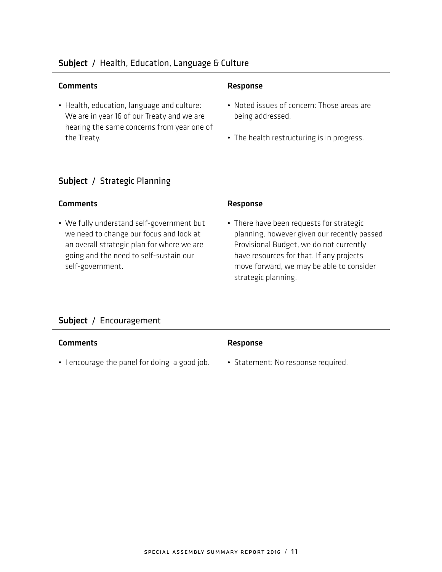## Subject / Health, Education, Language & Culture

### Comments Response

• Health, education, language and culture: We are in year 16 of our Treaty and we are hearing the same concerns from year one of the Treaty.

- Noted issues of concern: Those areas are being addressed.
- The health restructuring is in progress.

## Subject / Strategic Planning

### Comments **Comments** Response

• We fully understand self-government but we need to change our focus and look at an overall strategic plan for where we are going and the need to self-sustain our self-government.

• There have been requests for strategic planning, however given our recently passed Provisional Budget, we do not currently have resources for that. If any projects move forward, we may be able to consider strategic planning.

## Subject / Encouragement

#### Comments **Comments** Response

- I encourage the panel for doing a good job. Statement: No response required.
- 
-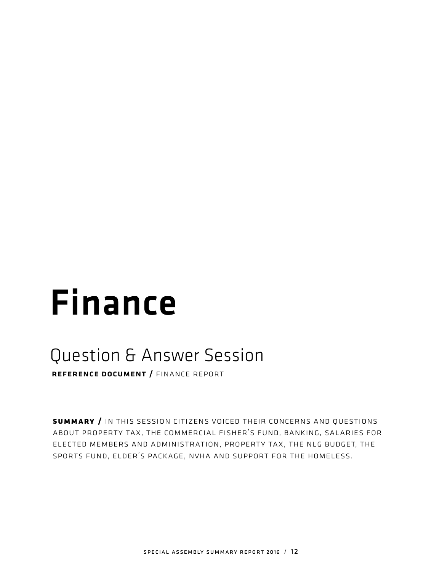# Finance

## Question & Answer Session

reference document / finance report

**summary /** in this session citizens voiced their concerns and questions about property tax, the commercial fisher's fund, banking, salaries for elected members and administration, property tax, the nlg budget, the sports fund, elder's package, nvha and support for the homeless.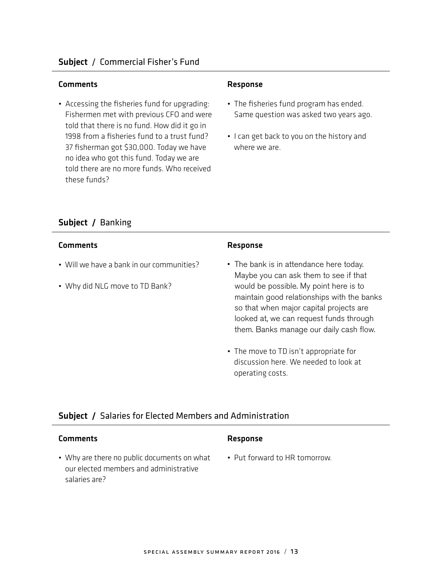#### Comments **Comments** Response

• Accessing the fisheries fund for upgrading: Fishermen met with previous CFO and were told that there is no fund. How did it go in 1998 from a fisheries fund to a trust fund? 37 fisherman got \$30,000. Today we have no idea who got this fund. Today we are told there are no more funds. Who received these funds?

- The fisheries fund program has ended. Same question was asked two years ago.
- I can get back to you on the history and where we are.

## Subject / Banking

#### Comments **Response**

- Will we have a bank in our communities?
- Why did NLG move to TD Bank?

- The bank is in attendance here today. Maybe you can ask them to see if that would be possible. My point here is to maintain good relationships with the banks so that when major capital projects are looked at, we can request funds through them. Banks manage our daily cash flow.
- The move to TD isn't appropriate for discussion here. We needed to look at operating costs.

## Subject / Salaries for Elected Members and Administration

| <b>Comments</b>                                                                       | <b>Response</b>               |
|---------------------------------------------------------------------------------------|-------------------------------|
| • Why are there no public documents on what<br>our elected members and administrative | • Put forward to HR tomorrow. |
| salaries are?                                                                         |                               |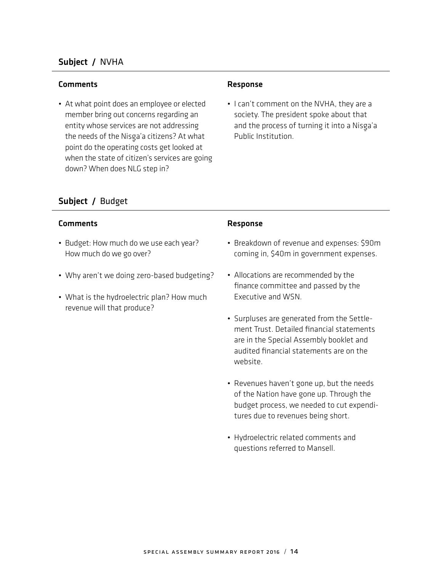## Subject / NVHA

#### Comments **Comments** Response

• At what point does an employee or elected member bring out concerns regarding an entity whose services are not addressing the needs of the Nisg-a'a citizens? At what point do the operating costs get looked at when the state of citizen's services are going down? When does NLG step in?

• I can't comment on the NVHA, they are a society. The president spoke about that and the process of turning it into a Nisga'a<br>Baklis ketik diasa Public Institution.

## Subject / Budget

## Comments **Comments** Response

- Budget: How much do we use each year? How much do we go over?
- Why aren't we doing zero-based budgeting?
- What is the hydroelectric plan? How much revenue will that produce?

- Breakdown of revenue and expenses: \$90m coming in, \$40m in government expenses.
- Allocations are recommended by the finance committee and passed by the Executive and WSN.
- Surpluses are generated from the Settlement Trust. Detailed financial statements are in the Special Assembly booklet and audited financial statements are on the website.
- Revenues haven't gone up, but the needs of the Nation have gone up. Through the budget process, we needed to cut expenditures due to revenues being short.
- Hydroelectric related comments and questions referred to Mansell.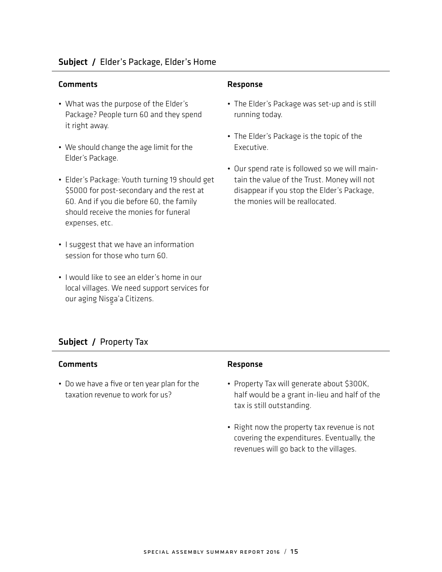## Subject / Elder's Package, Elder's Home

#### Comments Response

- What was the purpose of the Elder's Package? People turn 60 and they spend it right away.
- We should change the age limit for the Elder's Package.
- Elder's Package: Youth turning 19 should get \$5000 for post-secondary and the rest at 60. And if you die before 60, the family should receive the monies for funeral expenses, etc.
- I suggest that we have an information session for those who turn 60.
- I would like to see an elder's home in our local villages. We need support services for our aging Nisga'a Citizens.

- The Elder's Package was set-up and is still running today.
- The Elder's Package is the topic of the Executive.
- Our spend rate is followed so we will maintain the value of the Trust. Money will not disappear if you stop the Elder's Package, the monies will be reallocated.

## Subject / Property Tax

#### Comments **Response**

• Do we have a five or ten year plan for the taxation revenue to work for us?

- Property Tax will generate about \$300K, half would be a grant in-lieu and half of the tax is still outstanding.
- Right now the property tax revenue is not covering the expenditures. Eventually, the revenues will go back to the villages.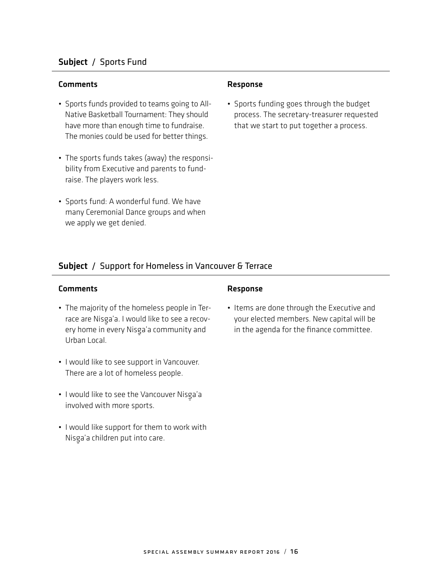## Subject / Sports Fund

#### Comments **Comments** Response

- Sports funds provided to teams going to All-Native Basketball Tournament: They should have more than enough time to fundraise. The monies could be used for better things.
- The sports funds takes (away) the responsibility from Executive and parents to fundraise. The players work less.
- Sports fund: A wonderful fund. We have many Ceremonial Dance groups and when we apply we get denied.

• Sports funding goes through the budget process. The secretary-treasurer requested that we start to put together a process.

## Subject / Support for Homeless in Vancouver & Terrace

## Comments **Response**

- The majority of the homeless people in Terrace are Nisga'a. I would like to see a recovery home in every Nisga'a community and<br>What has beed Urban Local.
- I would like to see support in Vancouver. There are a lot of homeless people.
- I would like to see the Vancouver Nisga'a<br>a'aad adool is aan ah involved with more sports.
- I would like support for them to work with Nisga'a children put into care.<br>'

• Items are done through the Executive and your elected members. New capital will be in the agenda for the finance committee.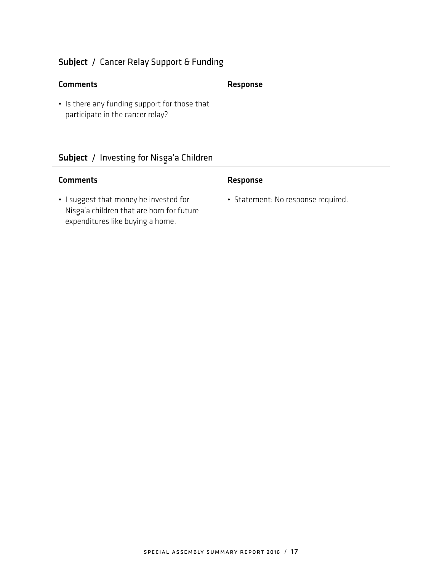## Subject / Cancer Relay Support & Funding

## Comments Response

• Is there any funding support for those that participate in the cancer relay?

## Subject / Investing for Nisga'a Children<br>————————————————————

- I suggest that money be invested for Nisg-a'a children that are born for future expenditures like buying a home.
- Statement: No response required.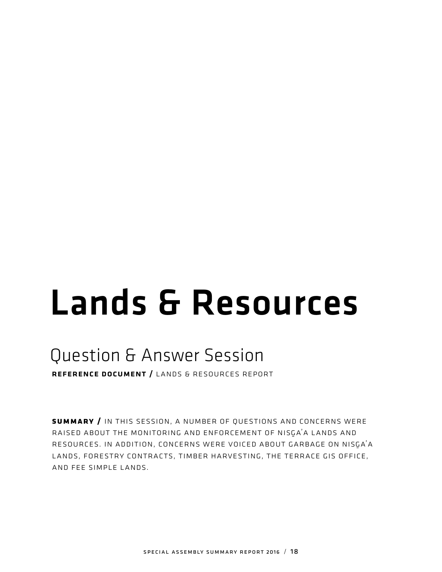# Lands & Resources

## Question & Answer Session

reference document / lands & resources report

**summary /** in this session, a number of questions and concerns were RAISED ABOUT THE MONITORING AND ENFORCEMENT OF NISGA'A LANDS AND RESOURCES. IN ADDITION, CONCERNS WERE VOICED ABOUT GARBAGE ON NISGA'A lands, forestry contracts, timber harvesting, the terrace gis office, and fee simple lands.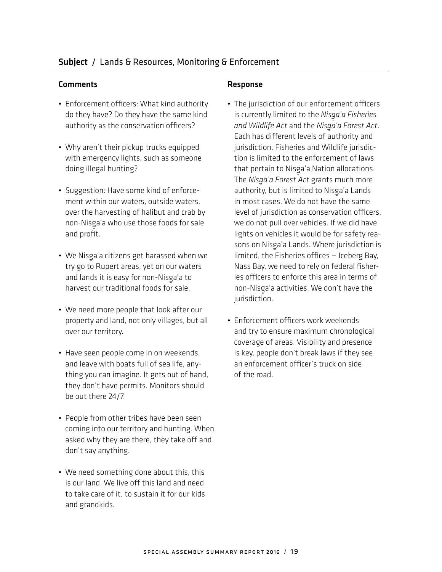## Comments **Comments** Response

- Enforcement officers: What kind authority do they have? Do they have the same kind authority as the conservation officers?
- Why aren't their pickup trucks equipped with emergency lights, such as someone doing illegal hunting?
- Suggestion: Have some kind of enforcement within our waters, outside waters, over the harvesting of halibut and crab by non-Nisga'a who use those foods for sale<br>——————————————————— and profit.
- We Nisga'a citizens get harassed when we try go to Rupert areas, yet on our waters and lands it is easy for non-Nisga'a to harvest our traditional foods for sale.
- We need more people that look after our property and land, not only villages, but all over our territory.
- Have seen people come in on weekends, and leave with boats full of sea life, anything you can imagine. It gets out of hand, they don't have permits. Monitors should be out there 24/7.
- People from other tribes have been seen coming into our territory and hunting. When asked why they are there, they take off and don't say anything.
- We need something done about this, this is our land. We live off this land and need to take care of it, to sustain it for our kids and grandkids.

- The jurisdiction of our enforcement officers is currently limited to the *Nisg-a'a Fisheries and Wildlife Act* and the *Nisg-a'a Forest Act*. Each has different levels of authority and jurisdiction. Fisheries and Wildlife jurisdiction is limited to the enforcement of laws that pertain to Nisga'a Nation allocations.<br>The Allocale Facet Art and the substances The *Nisg-a'a Forest Act* grants much more authority, but is limited to Nisg-a'a Lands in most cases. We do not have the same level of jurisdiction as conservation officers, we do not pull over vehicles. If we did have lights on vehicles it would be for safety reasons on Nisga'a Lands. Where jurisdiction is<br>l'adiazi din Fishe iso afficere deshe e Pe limited, the Fisheries offices — Iceberg Bay, Nass Bay, we need to rely on federal fisheries officers to enforce this area in terms of non-Nisga'a activities. We don't have the<br>. jurisdiction.
- Enforcement officers work weekends and try to ensure maximum chronological coverage of areas. Visibility and presence is key, people don't break laws if they see an enforcement officer's truck on side of the road.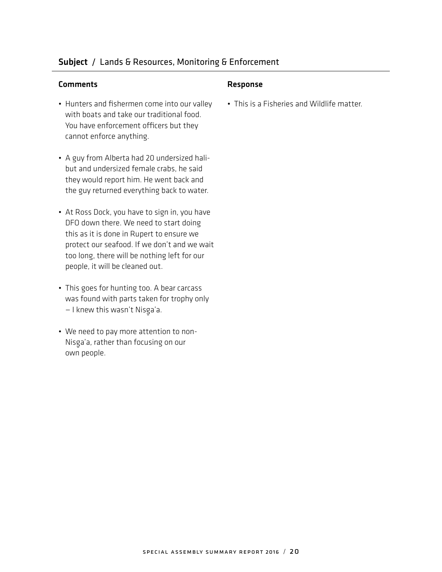## Subject / Lands & Resources, Monitoring & Enforcement

#### Comments Response

- Hunters and fishermen come into our valley with boats and take our traditional food. You have enforcement officers but they cannot enforce anything.
- A guy from Alberta had 20 undersized halibut and undersized female crabs, he said they would report him. He went back and the guy returned everything back to water.
- At Ross Dock, you have to sign in, you have DFO down there. We need to start doing this as it is done in Rupert to ensure we protect our seafood. If we don't and we wait too long, there will be nothing left for our people, it will be cleaned out.
- This goes for hunting too. A bear carcass was found with parts taken for trophy only – I knew this wasn't Nisga'a.
- We need to pay more attention to non-Nisga'a, rather than focusing on our<br>. own people.

• This is a Fisheries and Wildlife matter.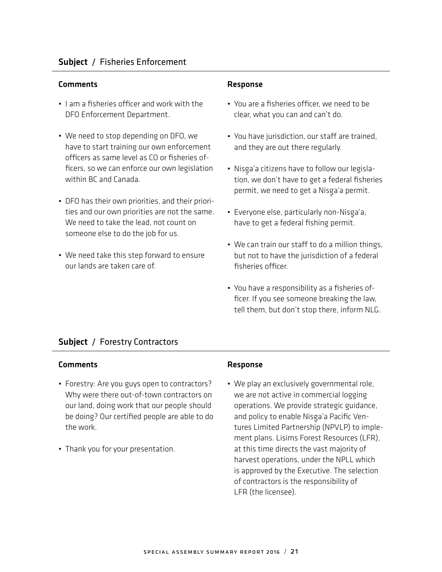- I am a fisheries officer and work with the DFO Enforcement Department.
- We need to stop depending on DFO, we have to start training our own enforcement officers as same level as CO or fisheries officers, so we can enforce our own legislation within BC and Canada.
- DFO has their own priorities, and their priorities and our own priorities are not the same. We need to take the lead, not count on someone else to do the job for us.
- We need take this step forward to ensure our lands are taken care of.

- You are a fisheries officer, we need to be clear, what you can and can't do.
- You have jurisdiction, our staff are trained, and they are out there regularly.
- Nisga'a citizens have to follow our legisla-<br>... tion, we don't have to get a federal fisheries permit, we need to get a Nisga'a permit.<br>'
- Everyone else, particularly non-Nisga'a, have to get a federal fishing permit.
- We can train our staff to do a million things, but not to have the jurisdiction of a federal fisheries officer.
- You have a responsibility as a fisheries officer. If you see someone breaking the law, tell them, but don't stop there, inform NLG.

## Subject / Forestry Contractors

## Comments Response

- Forestry: Are you guys open to contractors? Why were there out-of-town contractors on our land, doing work that our people should be doing? Our certified people are able to do the work.
- Thank you for your presentation.

• We play an exclusively governmental role, we are not active in commercial logging operations. We provide strategic guidance, and policy to enable Nisga'a Pacific Ventures Limited Partnership (NPVLP) to implement plans. Lisims Forest Resources (LFR), at this time directs the vast majority of harvest operations, under the NPLL which is approved by the Executive. The selection of contractors is the responsibility of LFR (the licensee).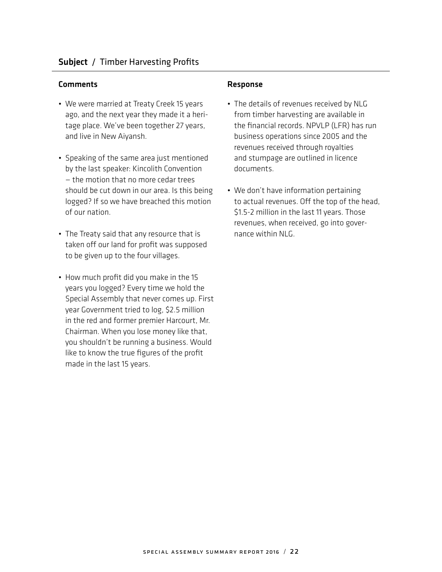- We were married at Treaty Creek 15 years ago, and the next year they made it a heritage place. We've been together 27 years, and live in New Aiyansh.
- Speaking of the same area just mentioned by the last speaker: Kincolith Convention — the motion that no more cedar trees should be cut down in our area. Is this being logged? If so we have breached this motion of our nation.
- The Treaty said that any resource that is taken off our land for profit was supposed to be given up to the four villages.
- How much profit did you make in the 15 years you logged? Every time we hold the Special Assembly that never comes up. First year Government tried to log, \$2.5 million in the red and former premier Harcourt, Mr. Chairman. When you lose money like that, you shouldn't be running a business. Would like to know the true figures of the profit made in the last 15 years.

- The details of revenues received by NLG from timber harvesting are available in the financial records. NPVLP (LFR) has run business operations since 2005 and the revenues received through royalties and stumpage are outlined in licence documents.
- We don't have information pertaining to actual revenues. Off the top of the head, \$1.5-2 million in the last 11 years. Those revenues, when received, go into governance within NLG.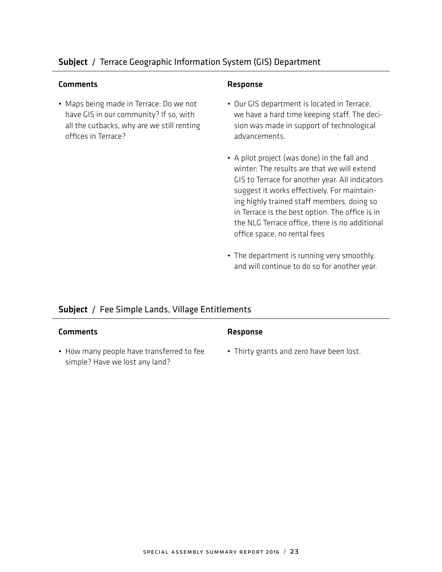## Subject / Terrace Geographic Information System (GIS) Department

### Comments Response

• Maps being made in Terrace: Do we not have GIS in our community? If so, with all the cutbacks, why are we still renting offices in Terrace?

- Our GIS department is located in Terrace, we have a hard time keeping staff. The decision was made in support of technological advancements.
- A pilot project (was done) in the fall and winter: The results are that we will extend GIS to Terrace for another year. All indicators suggest it works effectively. For maintaining highly trained staff members, doing so in Terrace is the best option. The office is in the NLG Terrace office, there is no additional office space, no rental fees
- The department is running very smoothly, and will continue to do so for another year.

## Subject / Fee Simple Lands, Village Entitlements

#### Comments Response

• How many people have transferred to fee simple? Have we lost any land?

• Thirty grants and zero have been lost.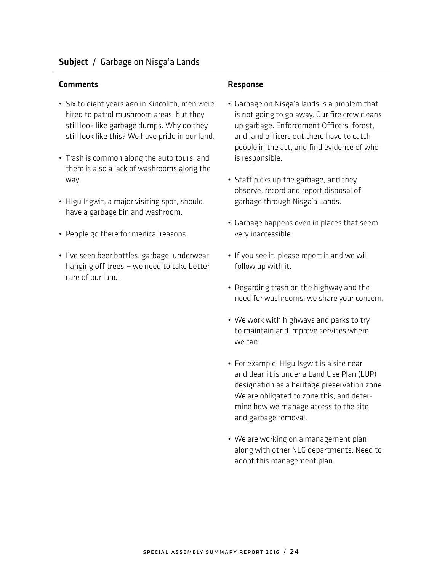## Comments **Comments** Response

- Six to eight years ago in Kincolith, men were hired to patrol mushroom areas, but they still look like garbage dumps. Why do they still look like this? We have pride in our land.
- Trash is common along the auto tours, and there is also a lack of washrooms along the way.
- Hlgu Isgwit, a major visiting spot, should have a garbage bin and washroom.
- People go there for medical reasons.
- I've seen beer bottles, garbage, underwear hanging off trees — we need to take better care of our land.

- Garbage on Nisga'a lands is a problem that is not going to go away. Our fire crew cleans up garbage. Enforcement Officers, forest, and land officers out there have to catch people in the act, and find evidence of who is responsible.
- Staff picks up the garbage, and they observe, record and report disposal of garbage through Nisga'a Lands.<br>'
- Garbage happens even in places that seem very inaccessible.
- If you see it, please report it and we will follow up with it.
- Regarding trash on the highway and the need for washrooms, we share your concern.
- We work with highways and parks to try to maintain and improve services where we can.
- For example, Hlgu Isgwit is a site near and dear, it is under a Land Use Plan (LUP) designation as a heritage preservation zone. We are obligated to zone this, and determine how we manage access to the site and garbage removal.
- We are working on a management plan along with other NLG departments. Need to adopt this management plan.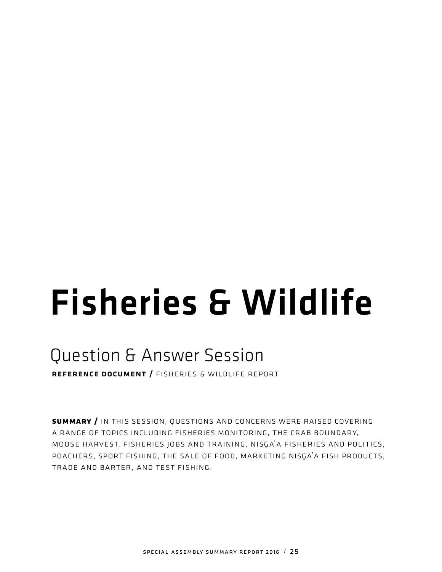# Fisheries & Wildlife

# Question & Answer Session

reference document / fisheries & wildlife report

**summary /** in this session, questions and concerns were raised covering a range of topics including fisheries monitoring, the crab boundary, MOOSE HARVEST, FISHERIES JOBS AND TRAINING, NISGA'A FISHERIES AND POLITICS, POACHERS, SPORT FISHING, THE SALE OF FOOD, MARKETING NISGA'A FISH PRODUCTS, trade and barter, and test fishing.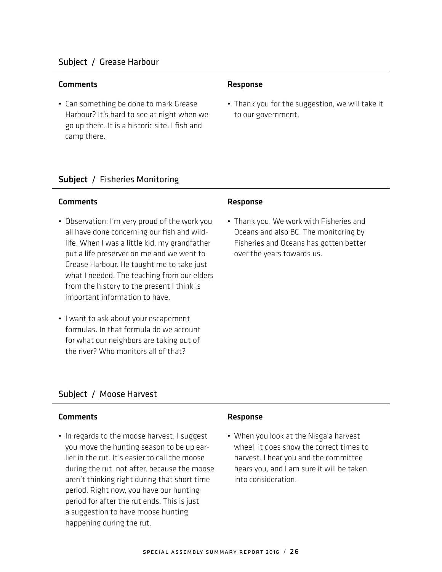## Subject / Grease Harbour

#### Comments Response

• Can something be done to mark Grease Harbour? It's hard to see at night when we go up there. It is a historic site. I fish and camp there.

• Thank you for the suggestion, we will take it to our government.

## Subject / Fisheries Monitoring

#### Comments **Response**

- Observation: I'm very proud of the work you all have done concerning our fish and wildlife. When I was a little kid, my grandfather put a life preserver on me and we went to Grease Harbour. He taught me to take just what I needed. The teaching from our elders from the history to the present I think is important information to have.
- I want to ask about your escapement formulas. In that formula do we account for what our neighbors are taking out of the river? Who monitors all of that?

• Thank you. We work with Fisheries and Oceans and also BC. The monitoring by Fisheries and Oceans has gotten better over the years towards us.

## Subject / Moose Harvest

## Comments Response

• In regards to the moose harvest, I suggest you move the hunting season to be up earlier in the rut. It's easier to call the moose during the rut, not after, because the moose aren't thinking right during that short time period. Right now, you have our hunting period for after the rut ends. This is just a suggestion to have moose hunting happening during the rut.

• When you look at the Nisga'a harvest wheel, it does show the correct times to harvest. I hear you and the committee hears you, and I am sure it will be taken into consideration.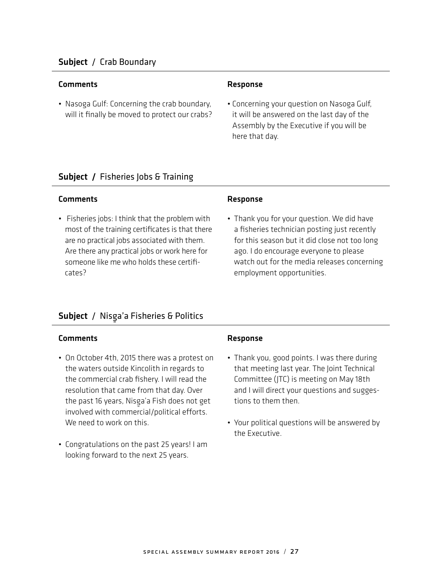## Subject / Crab Boundary

#### Comments Response

• Nasoga Gulf: Concerning the crab boundary, will it finally be moved to protect our crabs?

• Concerning your question on Nasoga Gulf, it will be answered on the last day of the Assembly by the Executive if you will be here that day.

## Subject / Fisheries Jobs & Training

#### Comments Response

• Fisheries jobs: I think that the problem with most of the training certificates is that there are no practical jobs associated with them. Are there any practical jobs or work here for someone like me who holds these certificates?

• Thank you for your question. We did have a fisheries technician posting just recently for this season but it did close not too long ago. I do encourage everyone to please watch out for the media releases concerning employment opportunities.

## Subject / Nisga'a Fisheries & Politics<br>————————————————————

- On October 4th, 2015 there was a protest on the waters outside Kincolith in regards to the commercial crab fishery. I will read the resolution that came from that day. Over the past 16 years, Nisga'a Fish does not get<br>. involved with commercial/political efforts. We need to work on this.
- Congratulations on the past 25 years! I am looking forward to the next 25 years.

- Thank you, good points. I was there during that meeting last year. The Joint Technical Committee (JTC) is meeting on May 18th and I will direct your questions and suggestions to them then.
- Your political questions will be answered by the Executive.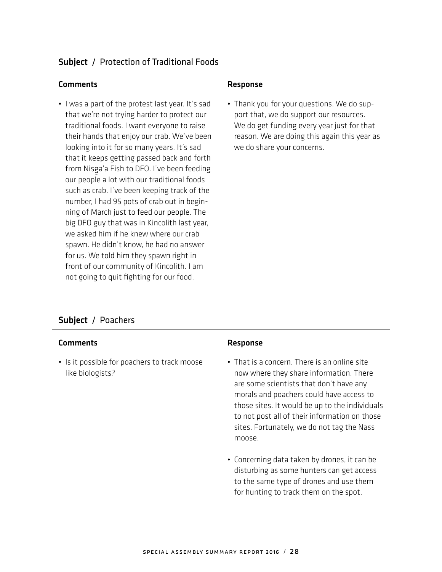### Comments **Comments** Response

• I was a part of the protest last year. It's sad that we're not trying harder to protect our traditional foods. I want everyone to raise their hands that enjoy our crab. We've been looking into it for so many years. It's sad that it keeps getting passed back and forth from Nisga'a Fish to DFO. I've been feeding our people a lot with our traditional foods such as crab. I've been keeping track of the number, I had 95 pots of crab out in beginning of March just to feed our people. The big DFO guy that was in Kincolith last year, we asked him if he knew where our crab spawn. He didn't know, he had no answer for us. We told him they spawn right in front of our community of Kincolith. I am not going to quit fighting for our food.

• Thank you for your questions. We do support that, we do support our resources. We do get funding every year just for that reason. We are doing this again this year as we do share your concerns.

## Subject / Poachers

#### Comments Response

• Is it possible for poachers to track moose like biologists?

- That is a concern. There is an online site now where they share information. There are some scientists that don't have any morals and poachers could have access to those sites. It would be up to the individuals to not post all of their information on those sites. Fortunately, we do not tag the Nass moose.
- Concerning data taken by drones, it can be disturbing as some hunters can get access to the same type of drones and use them for hunting to track them on the spot.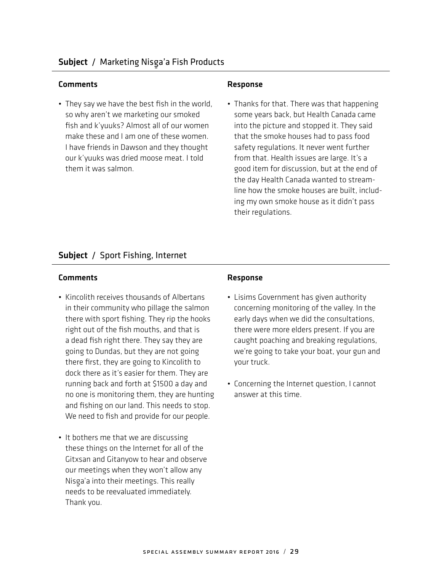• They say we have the best fish in the world, so why aren't we marketing our smoked fish and k'yuuks? Almost all of our women make these and I am one of these women. I have friends in Dawson and they thought our k'yuuks was dried moose meat. I told them it was salmon.

• Thanks for that. There was that happening some years back, but Health Canada came into the picture and stopped it. They said that the smoke houses had to pass food safety regulations. It never went further from that. Health issues are large. It's a good item for discussion, but at the end of the day Health Canada wanted to streamline how the smoke houses are built, including my own smoke house as it didn't pass their regulations.

## Subject / Sport Fishing, Internet

- Kincolith receives thousands of Albertans in their community who pillage the salmon there with sport fishing. They rip the hooks right out of the fish mouths, and that is a dead fish right there. They say they are going to Dundas, but they are not going there first, they are going to Kincolith to dock there as it's easier for them. They are running back and forth at \$1500 a day and no one is monitoring them, they are hunting and fishing on our land. This needs to stop. We need to fish and provide for our people.
- It bothers me that we are discussing these things on the Internet for all of the Gitxsan and Gitanyow to hear and observe our meetings when they won't allow any Nisga'a into their meetings. This really<br>actually historical stadius and their needs to be reevaluated immediately. Thank you.

- Lisims Government has given authority concerning monitoring of the valley. In the early days when we did the consultations, there were more elders present. If you are caught poaching and breaking regulations, we're going to take your boat, your gun and your truck.
- Concerning the Internet question, I cannot answer at this time.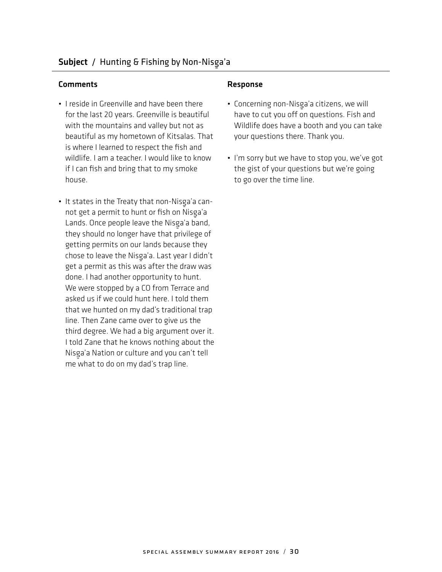### Comments **Comments** Response

- I reside in Greenville and have been there for the last 20 years. Greenville is beautiful with the mountains and valley but not as beautiful as my hometown of Kitsalas. That is where I learned to respect the fish and wildlife. I am a teacher. I would like to know if I can fish and bring that to my smoke house.
- It states in the Treaty that non-Nisga'a cannot get a permit to hunt or fish on Nisga'a<br>Leade Occasionale has a the Nissa's hand Lands. Once people leave the Nisga'a band,<br>The cabe of seekens the substantial search they should no longer have that privilege of getting permits on our lands because they chose to leave the Nisga'a. Last year I didn't<br>and a second contribution of the theodor get a permit as this was after the draw was done. I had another opportunity to hunt. We were stopped by a CO from Terrace and asked us if we could hunt here. I told them that we hunted on my dad's traditional trap line. Then Zane came over to give us the third degree. We had a big argument over it. I told Zane that he knows nothing about the Nisg-a'a Nation or culture and you can't tell me what to do on my dad's trap line.

- Concerning non-Nisga'a citizens, we will have to cut you off on questions. Fish and Wildlife does have a booth and you can take your questions there. Thank you.
- I'm sorry but we have to stop you, we've got the gist of your questions but we're going to go over the time line.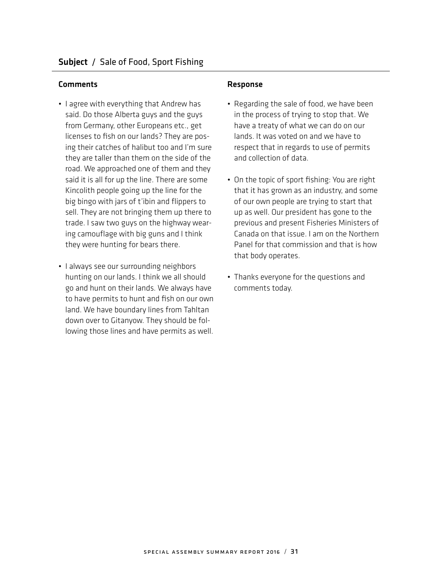- I agree with everything that Andrew has said. Do those Alberta guys and the guys from Germany, other Europeans etc., get licenses to fish on our lands? They are posing their catches of halibut too and I'm sure they are taller than them on the side of the road. We approached one of them and they said it is all for up the line. There are some Kincolith people going up the line for the big bingo with jars of t'ibin and flippers to sell. They are not bringing them up there to trade. I saw two guys on the highway wearing camouflage with big guns and I think they were hunting for bears there.
- I always see our surrounding neighbors hunting on our lands. I think we all should go and hunt on their lands. We always have to have permits to hunt and fish on our own land. We have boundary lines from Tahltan down over to Gitanyow. They should be following those lines and have permits as well.

- Regarding the sale of food, we have been in the process of trying to stop that. We have a treaty of what we can do on our lands. It was voted on and we have to respect that in regards to use of permits and collection of data.
- On the topic of sport fishing: You are right that it has grown as an industry, and some of our own people are trying to start that up as well. Our president has gone to the previous and present Fisheries Ministers of Canada on that issue. I am on the Northern Panel for that commission and that is how that body operates.
- Thanks everyone for the questions and comments today.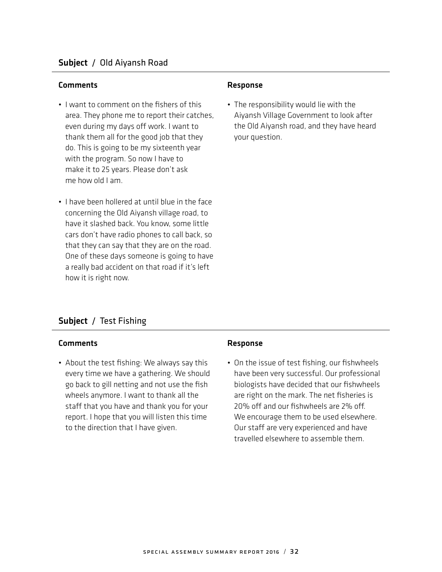## Comments **Comments** Response

- I want to comment on the fishers of this area. They phone me to report their catches, even during my days off work. I want to thank them all for the good job that they do. This is going to be my sixteenth year with the program. So now I have to make it to 25 years. Please don't ask me how old I am.
- I have been hollered at until blue in the face concerning the Old Aiyansh village road, to have it slashed back. You know, some little cars don't have radio phones to call back, so that they can say that they are on the road. One of these days someone is going to have a really bad accident on that road if it's left how it is right now.

• The responsibility would lie with the Aiyansh Village Government to look after the Old Aiyansh road, and they have heard your question.

## Subject / Test Fishing

#### Comments Response

• About the test fishing: We always say this every time we have a gathering. We should go back to gill netting and not use the fish wheels anymore. I want to thank all the staff that you have and thank you for your report. I hope that you will listen this time to the direction that I have given.

• On the issue of test fishing, our fishwheels have been very successful. Our professional biologists have decided that our fishwheels are right on the mark. The net fisheries is 20% off and our fishwheels are 2% off. We encourage them to be used elsewhere. Our staff are very experienced and have travelled elsewhere to assemble them.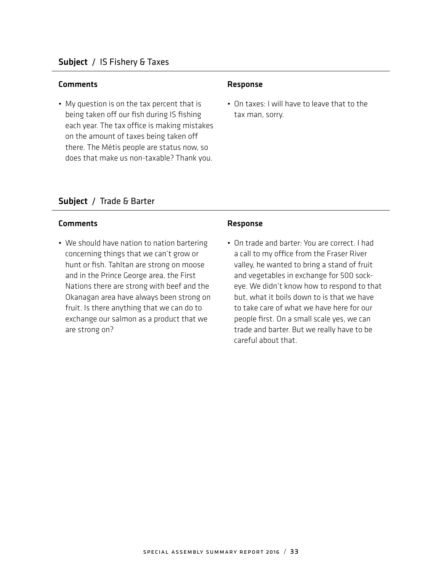#### Comments **Comments** Response

• My question is on the tax percent that is being taken off our fish during IS fishing each year. The tax office is making mistakes on the amount of taxes being taken off there. The Métis people are status now, so does that make us non-taxable? Thank you.

• On taxes: I will have to leave that to the tax man, sorry.

## Subject / Trade & Barter

## Comments **Comments** Response

• We should have nation to nation bartering concerning things that we can't grow or hunt or fish. Tahltan are strong on moose and in the Prince George area, the First Nations there are strong with beef and the Okanagan area have always been strong on fruit. Is there anything that we can do to exchange our salmon as a product that we are strong on?

• On trade and barter: You are correct. I had a call to my office from the Fraser River valley, he wanted to bring a stand of fruit and vegetables in exchange for 500 sockeye. We didn't know how to respond to that but, what it boils down to is that we have to take care of what we have here for our people first. On a small scale yes, we can trade and barter. But we really have to be careful about that.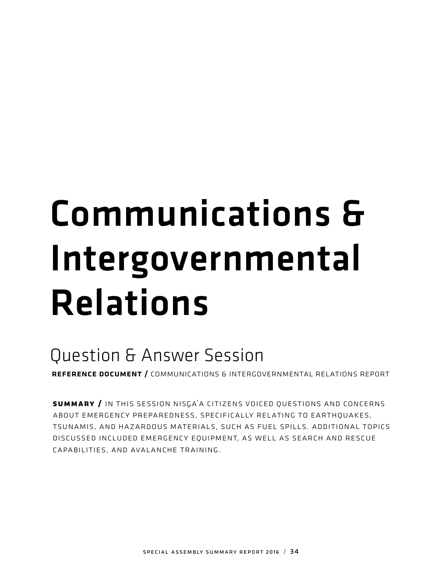# Communications & Intergovernmental Relations

# Question & Answer Session

reference document / communications & intergovernmental relations report

SUMMARY / IN THIS SESSION NISGA<sup>'</sup>A CITIZENS VOICED QUESTIONS AND CONCERNS about emergency preparedness, specifically relating to earthquakes, tsunamis, and hazardous materials, such as fuel spills. additional topics discussed included emergency equipment, as well as search and rescue capabilities, and avalanche training.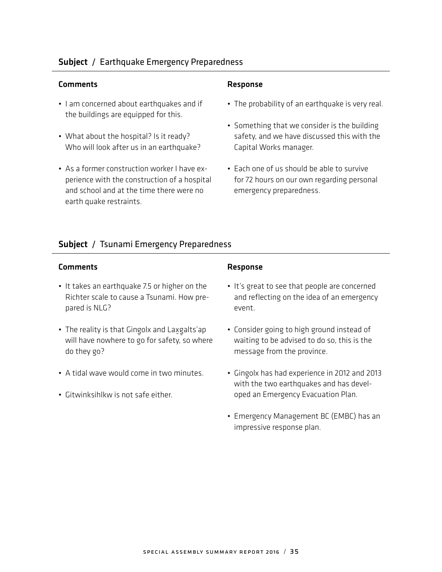## Subject / Earthquake Emergency Preparedness

#### Comments Response

- I am concerned about earthquakes and if the buildings are equipped for this.
- What about the hospital? Is it ready? Who will look after us in an earthquake?
- As a former construction worker I have experience with the construction of a hospital and school and at the time there were no earth quake restraints.

- The probability of an earthquake is very real.
- Something that we consider is the building safety, and we have discussed this with the Capital Works manager.
- Each one of us should be able to survive for 72 hours on our own regarding personal emergency preparedness.

## Subject / Tsunami Emergency Preparedness

### Comments **Comments** Response

- It takes an earthquake 7.5 or higher on the Richter scale to cause a Tsunami. How prepared is NLG?
- The reality is that Gingolx and Laxgalts'ap<br>https://www.haracter.com/haracter.com - will have nowhere to go for safety, so where do they go?
- A tidal wave would come in two minutes.
- Gitwinksihlkw is not safe either.

- It's great to see that people are concerned and reflecting on the idea of an emergency event.
- Consider going to high ground instead of waiting to be advised to do so, this is the message from the province.
- Gingolx has had experience in 2012 and 2013 with the two earthquakes and has developed an Emergency Evacuation Plan.
- Emergency Management BC (EMBC) has an impressive response plan.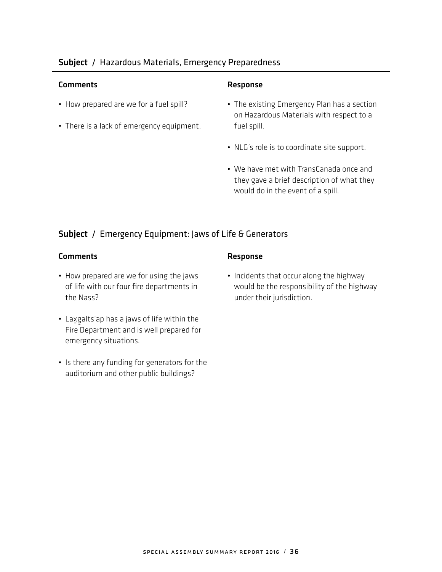## Subject / Hazardous Materials, Emergency Preparedness

### Comments Response

- How prepared are we for a fuel spill?
- There is a lack of emergency equipment.

- The existing Emergency Plan has a section on Hazardous Materials with respect to a fuel spill.
- NLG's role is to coordinate site support.
- We have met with TransCanada once and they gave a brief description of what they would do in the event of a spill.

## Subject / Emergency Equipment: Jaws of Life & Generators

## Comments Response

- How prepared are we for using the jaws of life with our four fire departments in the Nass?
- Laxgalts'ap has a jaws of life within the<br>———————————————————— - Fire Department and is well prepared for emergency situations.
- Is there any funding for generators for the auditorium and other public buildings?

• Incidents that occur along the highway would be the responsibility of the highway under their jurisdiction.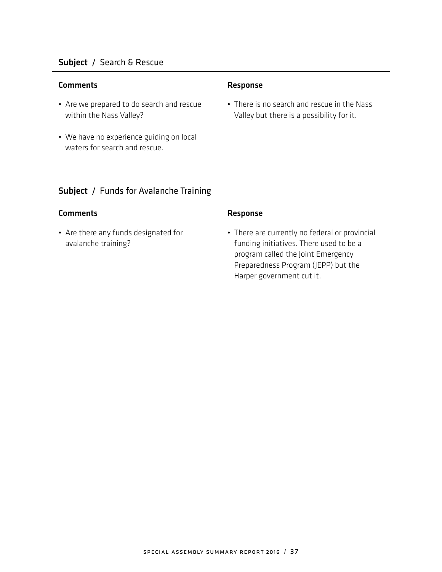## Subject / Search & Rescue

### Comments Response

- Are we prepared to do search and rescue within the Nass Valley?
- We have no experience guiding on local waters for search and rescue.

• There is no search and rescue in the Nass Valley but there is a possibility for it.

## Subject / Funds for Avalanche Training

## Comments Response

• Are there any funds designated for avalanche training?

• There are currently no federal or provincial funding initiatives. There used to be a program called the Joint Emergency Preparedness Program (JEPP) but the Harper government cut it.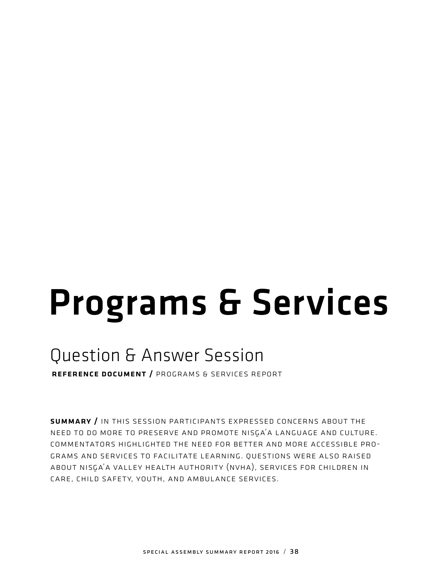# Programs & Services

# Question & Answer Session

reference document / programs & services report

summary / in this session participants expressed concerns about the NEED TO DO MORE TO PRESERVE AND PROMOTE NISGA'A LANGUAGE AND CULTURE. commentators highlighted the need for better and more accessible programs and services to facilitate learning. questions were also raised ABOUT NISGA'A VALLEY HEALTH AUTHORITY (NVHA), SERVICES FOR CHILDREN IN care, child safety, youth, and ambulance services.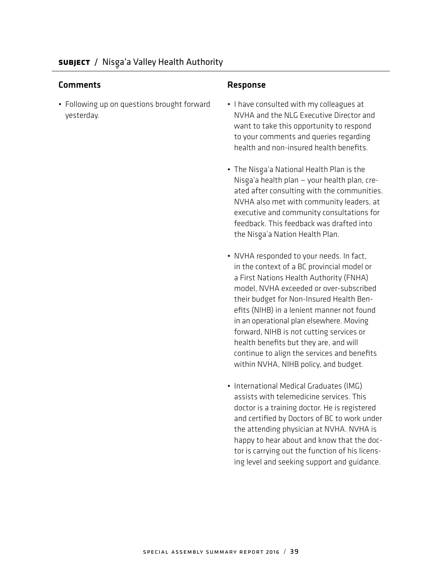• Following up on questions brought forward yesterday.

- I have consulted with my colleagues at NVHA and the NLG Executive Director and want to take this opportunity to respond to your comments and queries regarding health and non-insured health benefits.
- The Nisga'a National Health Plan is the<br>Alisaa's health also Nisg-a'a health plan — your health plan, created after consulting with the communities. NVHA also met with community leaders, at executive and community consultations for feedback. This feedback was drafted into the Nisga'a Nation Health Plan.<br>'
- NVHA responded to your needs. In fact, in the context of a BC provincial model or a First Nations Health Authority (FNHA) model, NVHA exceeded or over-subscribed their budget for Non-Insured Health Benefits (NIHB) in a lenient manner not found in an operational plan elsewhere. Moving forward, NIHB is not cutting services or health benefits but they are, and will continue to align the services and benefits within NVHA, NIHB policy, and budget.
- International Medical Graduates (IMG) assists with telemedicine services. This doctor is a training doctor. He is registered and certified by Doctors of BC to work under the attending physician at NVHA. NVHA is happy to hear about and know that the doctor is carrying out the function of his licensing level and seeking support and guidance.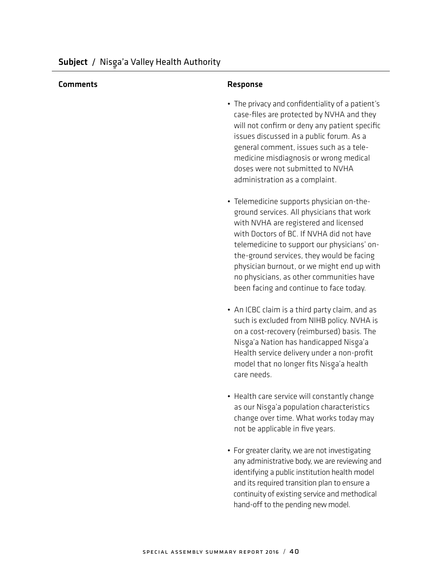- The privacy and confidentiality of a patient's case-files are protected by NVHA and they will not confirm or deny any patient specific issues discussed in a public forum. As a general comment, issues such as a telemedicine misdiagnosis or wrong medical doses were not submitted to NVHA administration as a complaint.
- Telemedicine supports physician on-theground services. All physicians that work with NVHA are registered and licensed with Doctors of BC. If NVHA did not have telemedicine to support our physicians' onthe-ground services, they would be facing physician burnout, or we might end up with no physicians, as other communities have been facing and continue to face today.
- An ICBC claim is a third party claim, and as such is excluded from NIHB policy. NVHA is on a cost-recovery (reimbursed) basis. The Nisga'a Nation has handicapped Nisga'a<br>Harikhara isa dali a Health service delivery under a non-profit model that no longer fits Nisg-a'a health care needs.
- Health care service will constantly change as our Nisga'a population characteristics change over time. What works today may not be applicable in five years.
- For greater clarity, we are not investigating any administrative body, we are reviewing and identifying a public institution health model and its required transition plan to ensure a continuity of existing service and methodical hand-off to the pending new model.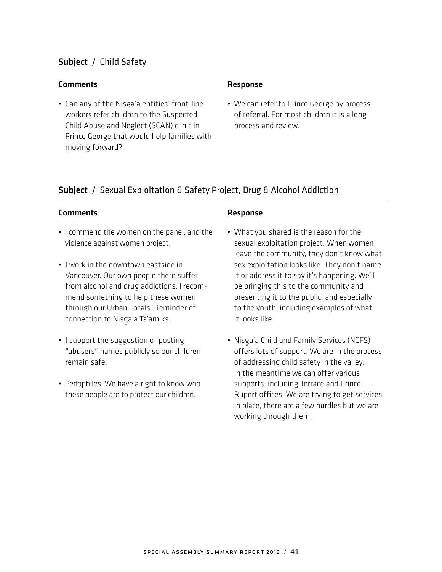## Subject / Child Safety

#### Comments Response

• Can any of the Nisga'a entities' front-line workers refer children to the Suspected Child Abuse and Neglect (SCAN) clinic in Prince George that would help families with moving forward?

• We can refer to Prince George by process of referral. For most children it is a long process and review.

## Subject / Sexual Exploitation & Safety Project, Drug & Alcohol Addiction

- I commend the women on the panel, and the violence against women project.
- I work in the downtown eastside in Vancouver. Our own people there suffer from alcohol and drug addictions. I recommend something to help these women through our Urban Locals. Reminder of connection to Nisga'a Ts'amiks.
- I support the suggestion of posting "abusers" names publicly so our children remain safe.
- Pedophiles: We have a right to know who these people are to protect our children.

- What you shared is the reason for the sexual exploitation project. When women leave the community, they don't know what sex exploitation looks like. They don't name it or address it to say it's happening. We'll be bringing this to the community and presenting it to the public, and especially to the youth, including examples of what it looks like.
- Nisga'a Child and Family Services (NCFS) offers lots of support. We are in the process of addressing child safety in the valley. In the meantime we can offer various supports, including Terrace and Prince Rupert offices. We are trying to get services in place, there are a few hurdles but we are working through them.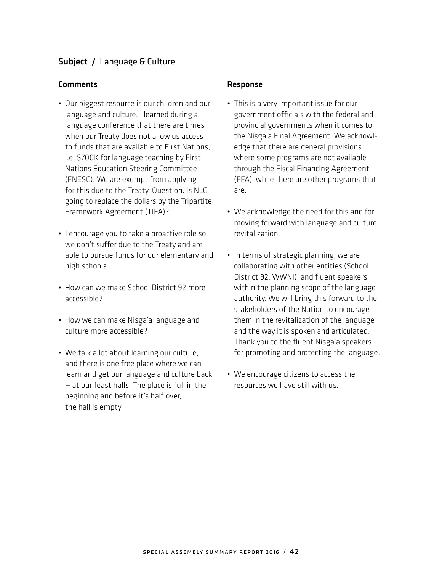- Our biggest resource is our children and our language and culture. I learned during a language conference that there are times when our Treaty does not allow us access to funds that are available to First Nations, i.e. \$700K for language teaching by First Nations Education Steering Committee (FNESC). We are exempt from applying for this due to the Treaty. Question: Is NLG going to replace the dollars by the Tripartite Framework Agreement (TIFA)?
- I encourage you to take a proactive role so we don't suffer due to the Treaty and are able to pursue funds for our elementary and high schools.
- How can we make School District 92 more accessible?
- How we can make Nisga'a language and culture more accessible?
- We talk a lot about learning our culture, and there is one free place where we can learn and get our language and culture back — at our feast halls. The place is full in the beginning and before it's half over, the hall is empty.

- This is a very important issue for our government officials with the federal and provincial governments when it comes to the Nisga'a Final Agreement. We acknowl-<br>advertised the concerned activities edge that there are general provisions where some programs are not available through the Fiscal Financing Agreement (FFA), while there are other programs that are.
- We acknowledge the need for this and for moving forward with language and culture revitalization.
- In terms of strategic planning, we are collaborating with other entities (School District 92, WWNI), and fluent speakers within the planning scope of the language authority. We will bring this forward to the stakeholders of the Nation to encourage them in the revitalization of the language and the way it is spoken and articulated. Thank you to the fluent Nisga'a speakers<br>Second was a speaker of the last speakers for promoting and protecting the language.
- We encourage citizens to access the resources we have still with us.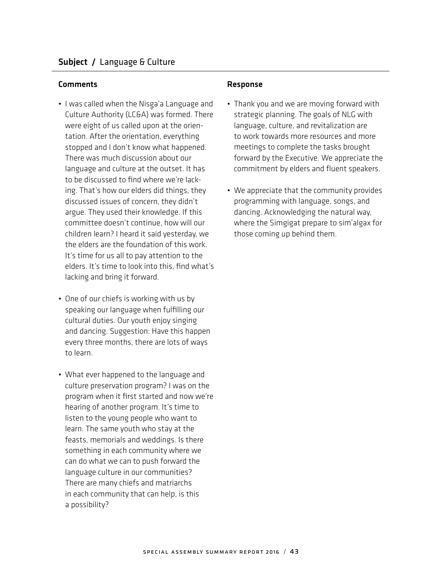- I was called when the Nisga'a Language and  $\epsilon$ Culture Authority (LC&A) was formed. There were eight of us called upon at the orientation. After the orientation, everything stopped and I don't know what happened. There was much discussion about our language and culture at the outset. It has to be discussed to find where we're lacking. That's how our elders did things, they discussed issues of concern, they didn't argue. They used their knowledge. If this committee doesn't continue, how will our children learn? I heard it said yesterday, we the elders are the foundation of this work. It's time for us all to pay attention to the elders. It's time to look into this, find what's lacking and bring it forward.
- One of our chiefs is working with us by speaking our language when fulfilling our cultural duties. Our youth enjoy singing and dancing. Suggestion: Have this happen every three months, there are lots of ways to learn.
- What ever happened to the language and culture preservation program? I was on the program when it first started and now we're hearing of another program. It's time to listen to the young people who want to learn. The same youth who stay at the feasts, memorials and weddings. Is there something in each community where we can do what we can to push forward the language culture in our communities? There are many chiefs and matriarchs in each community that can help, is this a possibility?

- Thank you and we are moving forward with strategic planning. The goals of NLG with language, culture, and revitalization are to work towards more resources and more meetings to complete the tasks brought forward by the Executive. We appreciate the commitment by elders and fluent speakers.
- We appreciate that the community provides programming with language, songs, and dancing. Acknowledging the natural way, where the Simgigat prepare to sim'algax for those coming up behind them.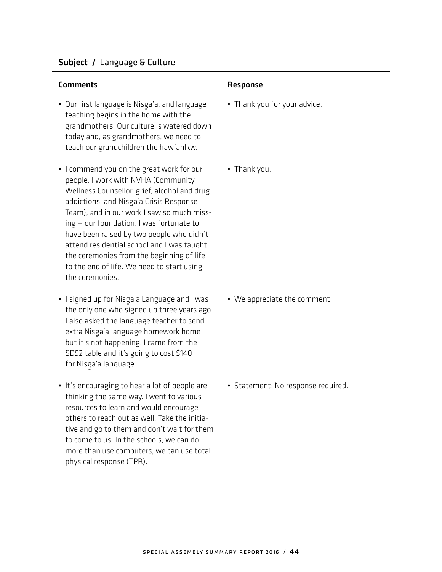- Our first language is Nisga'a, and language teaching begins in the home with the grandmothers. Our culture is watered down today and, as grandmothers, we need to teach our grandchildren the haw'ahlkw.
- I commend you on the great work for our people. I work with NVHA (Community Wellness Counsellor, grief, alcohol and drug addictions, and Nisga'a Crisis Response<br>Tassa's caddiga Team), and in our work I saw so much missing — our foundation. I was fortunate to have been raised by two people who didn't attend residential school and I was taught the ceremonies from the beginning of life to the end of life. We need to start using the ceremonies.
- I signed up for Nisga'a Language and I was the only one who signed up three years ago. I also asked the language teacher to send extra Nisga'a language homework home<br>hadibbased homewise decene formula but it's not happening. I came from the SD92 table and it's going to cost \$140 for Nisga'a language.<br>'
- It's encouraging to hear a lot of people are thinking the same way. I went to various resources to learn and would encourage others to reach out as well. Take the initiative and go to them and don't wait for them to come to us. In the schools, we can do more than use computers, we can use total physical response (TPR).

- Thank you for your advice.
- Thank you.

• We appreciate the comment.

• Statement: No response required.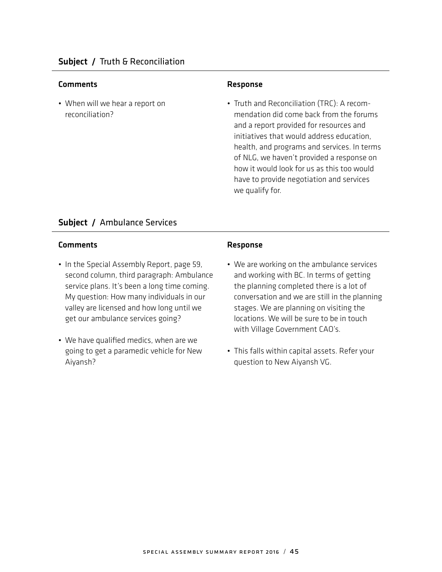• When will we hear a report on reconciliation?

• Truth and Reconciliation (TRC): A recommendation did come back from the forums and a report provided for resources and initiatives that would address education, health, and programs and services. In terms of NLG, we haven't provided a response on how it would look for us as this too would have to provide negotiation and services we qualify for.

## Subject / Ambulance Services

- In the Special Assembly Report, page 59, second column, third paragraph: Ambulance service plans. It's been a long time coming. My question: How many individuals in our valley are licensed and how long until we get our ambulance services going?
- We have qualified medics, when are we going to get a paramedic vehicle for New Aiyansh?

- We are working on the ambulance services and working with BC. In terms of getting the planning completed there is a lot of conversation and we are still in the planning stages. We are planning on visiting the locations. We will be sure to be in touch with Village Government CAO's.
- This falls within capital assets. Refer your question to New Aiyansh VG.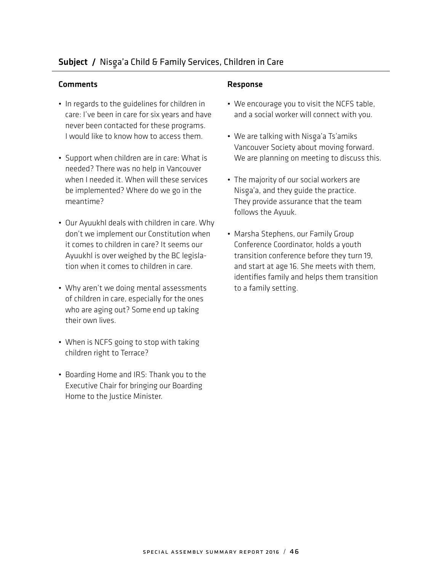## Subject / Nis-ga'a Child & Family Services, Children in Care

### Comments **Comments** Response

- In regards to the guidelines for children in care: I've been in care for six years and have never been contacted for these programs. I would like to know how to access them.
- Support when children are in care: What is needed? There was no help in Vancouver when I needed it. When will these services be implemented? Where do we go in the meantime?
- Our Ayuukhl deals with children in care. Why don't we implement our Constitution when it comes to children in care? It seems our Ayuukhl is over weighed by the BC legislation when it comes to children in care.
- Why aren't we doing mental assessments of children in care, especially for the ones who are aging out? Some end up taking their own lives.
- When is NCFS going to stop with taking children right to Terrace?
- Boarding Home and IRS: Thank you to the Executive Chair for bringing our Boarding Home to the Justice Minister.

- We encourage you to visit the NCFS table, and a social worker will connect with you.
- We are talking with Nisga'a Ts'amiks Vancouver Society about moving forward. We are planning on meeting to discuss this.
- The majority of our social workers are Nisga'a, and they guide the practice.<br>The same ideased the the theory They provide assurance that the team follows the Ayuuk.
- Marsha Stephens, our Family Group Conference Coordinator, holds a youth transition conference before they turn 19, and start at age 16. She meets with them, identifies family and helps them transition to a family setting.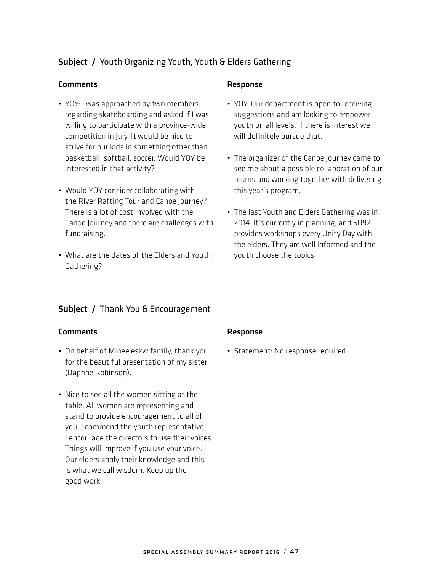## Subject / Youth Organizing Youth, Youth & Elders Gathering

#### Comments Response

- YOY: I was approached by two members regarding skateboarding and asked if I was willing to participate with a province-wide competition in July. It would be nice to strive for our kids in something other than basketball, softball, soccer. Would YOY be interested in that activity?
- Would YOY consider collaborating with the River Rafting Tour and Canoe Journey? There is a lot of cost involved with the Canoe Journey and there are challenges with fundraising.
- What are the dates of the Elders and Youth Gathering?

- YOY: Our department is open to receiving suggestions and are looking to empower youth on all levels, if there is interest we will definitely pursue that.
- The organizer of the Canoe Journey came to see me about a possible collaboration of our teams and working together with delivering this year's program.
- The last Youth and Elders Gathering was in 2014. It's currently in planning, and SD92 provides workshops every Unity Day with the elders. They are well informed and the youth choose the topics.

## Subject / Thank You & Encouragement

#### Comments Response

- On behalf of Minee'eskw family, thank you for the beautiful presentation of my sister (Daphne Robinson).
- Nice to see all the women sitting at the table. All women are representing and stand to provide encouragement to all of you. I commend the youth representative. I encourage the directors to use their voices. Things will improve if you use your voice. Our elders apply their knowledge and this is what we call wisdom. Keep up the good work.

• Statement: No response required.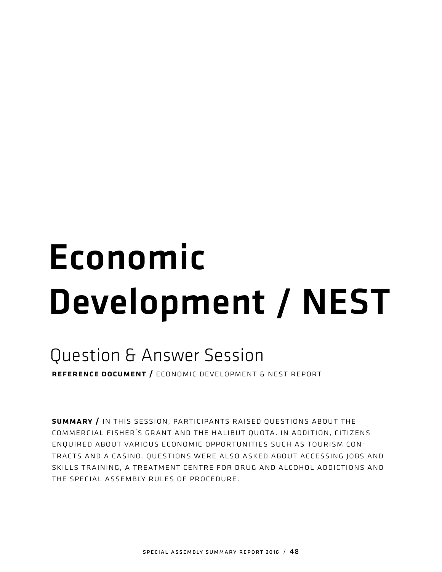# Economic Development / NEST

# Question & Answer Session

reference document / economic development & nest report

summary / in this session, participants raised questions about the commercial fisher's grant and the halibut quota. in addition, citizens enquired about various economic opportunities such as tourism contracts and a casino. questions were also asked about accessing jobs and skills training, a treatment centre for drug and alcohol addictions and the special assembly rules of procedure.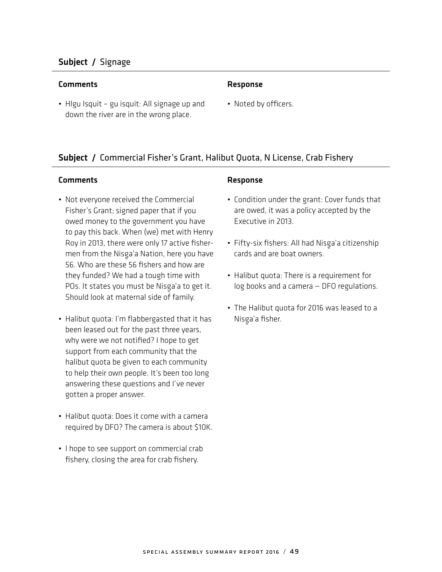## Subject / Signage

#### Comments Response

• Hlgu Isquit – gu isquit: All signage up and down the river are in the wrong place.

• Noted by officers.

## Subject / Commercial Fisher's Grant, Halibut Quota, N License, Crab Fishery

#### Comments **Comments** Response

- Not everyone received the Commercial Fisher's Grant; signed paper that if you owed money to the government you have to pay this back. When (we) met with Henry Roy in 2013, there were only 17 active fishermen from the Nisga'a Nation, here you have<br>ES Mines e there ES Sakes a sal ha 56. Who are these 56 fishers and how are they funded? We had a tough time with POs. It states you must be Nisga'a to get it.<br>She delived at matematic is a film it Should look at maternal side of family.
- Halibut quota: I'm flabbergasted that it has been leased out for the past three years, why were we not notified? I hope to get support from each community that the halibut quota be given to each community to help their own people. It's been too long answering these questions and I've never gotten a proper answer.
- Halibut quota: Does it come with a camera required by DFO? The camera is about \$10K.
- I hope to see support on commercial crab fishery, closing the area for crab fishery.

- Condition under the grant: Cover funds that are owed, it was a policy accepted by the Executive in 2013.
- Fifty-six fishers: All had Nisga'a citizenship<br>and had a character of the context of the set of the set of the set of the set of the set of the set of the se cards and are boat owners.
- Halibut quota: There is a requirement for log books and a camera — DFO regulations.
- The Halibut quota for 2016 was leased to a Nisga'a fisher.<br>'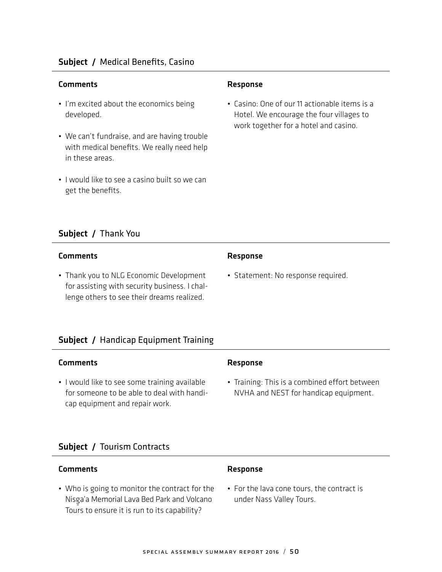#### Comments **Comments** Response

- I'm excited about the economics being developed.
- We can't fundraise, and are having trouble with medical benefits. We really need help in these areas.
- I would like to see a casino built so we can get the benefits.

## Subject / Thank You

#### Comments Response

• Thank you to NLG Economic Development for assisting with security business. I challenge others to see their dreams realized.

• Casino: One of our 11 actionable items is a Hotel. We encourage the four villages to work together for a hotel and casino.

• Statement: No response required.

## Subject / Handicap Equipment Training

#### Comments Response

• I would like to see some training available for someone to be able to deal with handicap equipment and repair work.

• Training: This is a combined effort between NVHA and NEST for handicap equipment.

### Subject / Tourism Contracts

## Comments **Comments** Response

• Who is going to monitor the contract for the Nisga'a Memorial Lava Bed Park and Volcano<br>Tanàna iominina amin'ny faritr'i Nor Tours to ensure it is run to its capability?

• For the lava cone tours, the contract is under Nass Valley Tours.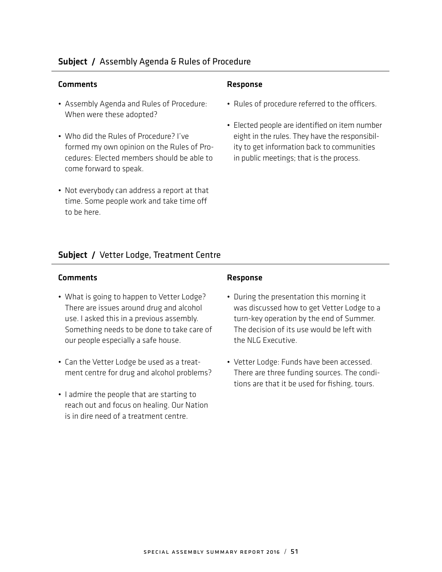## Subject / Assembly Agenda & Rules of Procedure

#### Comments Response

- Assembly Agenda and Rules of Procedure: When were these adopted?
- Who did the Rules of Procedure? I've formed my own opinion on the Rules of Procedures: Elected members should be able to come forward to speak.
- Not everybody can address a report at that time. Some people work and take time off to be here.

- Rules of procedure referred to the officers.
- Elected people are identified on item number eight in the rules. They have the responsibility to get information back to communities in public meetings; that is the process.

## Subject / Vetter Lodge, Treatment Centre

- What is going to happen to Vetter Lodge? There are issues around drug and alcohol use. I asked this in a previous assembly. Something needs to be done to take care of our people especially a safe house.
- Can the Vetter Lodge be used as a treatment centre for drug and alcohol problems?
- I admire the people that are starting to reach out and focus on healing. Our Nation is in dire need of a treatment centre.

- During the presentation this morning it was discussed how to get Vetter Lodge to a turn-key operation by the end of Summer. The decision of its use would be left with the NLG Executive.
- Vetter Lodge: Funds have been accessed. There are three funding sources. The conditions are that it be used for fishing, tours.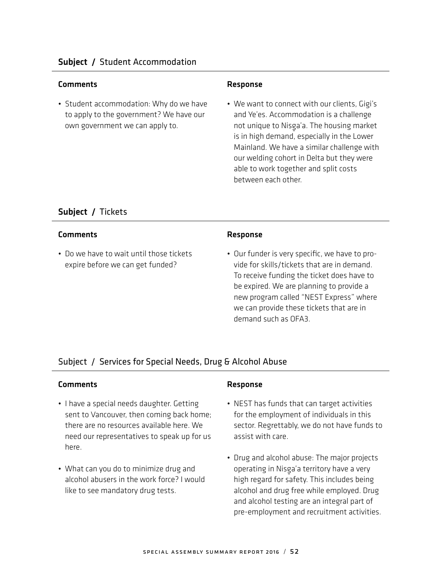• Student accommodation: Why do we have to apply to the government? We have our own government we can apply to.

• We want to connect with our clients, Gigi's and Ye'es. Accommodation is a challenge not unique to Nisga'a. The housing market is in high demand, especially in the Lower Mainland. We have a similar challenge with our welding cohort in Delta but they were able to work together and split costs between each other.

## Subject / Tickets

## Comments **Comments** Response

• Do we have to wait until those tickets expire before we can get funded?

• Our funder is very specific, we have to provide for skills/tickets that are in demand. To receive funding the ticket does have to be expired. We are planning to provide a new program called "NEST Express" where we can provide these tickets that are in demand such as OFA3.

## Subject / Services for Special Needs, Drug & Alcohol Abuse

- I have a special needs daughter. Getting sent to Vancouver, then coming back home; there are no resources available here. We need our representatives to speak up for us here.
- What can you do to minimize drug and alcohol abusers in the work force? I would like to see mandatory drug tests.

- NEST has funds that can target activities for the employment of individuals in this sector. Regrettably, we do not have funds to assist with care.
- Drug and alcohol abuse: The major projects operating in Nisga'a territory have a very<br>'' high regard for safety. This includes being alcohol and drug free while employed. Drug and alcohol testing are an integral part of pre-employment and recruitment activities.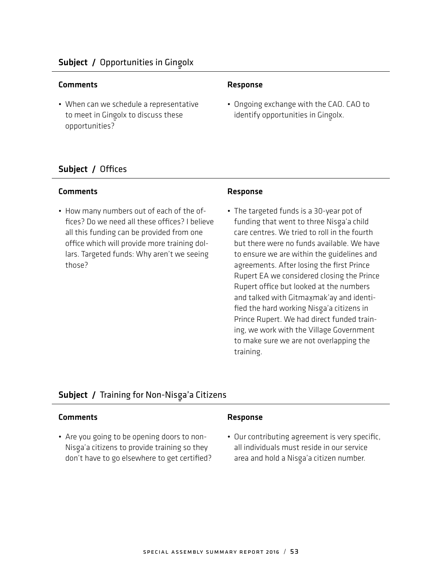## Comments **Comments** Response

• When can we schedule a representative to meet in Gingolx to discuss these opportunities?

• Ongoing exchange with the CAO. CAO to identify opportunities in Gingolx.<br>'

## Subject / Offices

## Comments Response

• How many numbers out of each of the offices? Do we need all these offices? I believe all this funding can be provided from one office which will provide more training dollars. Targeted funds: Why aren't we seeing those?

• The targeted funds is a 30-year pot of funding that went to three Nisga'a child<br>Alam Martin Martin Martin (Caroli care centres. We tried to roll in the fourth but there were no funds available. We have to ensure we are within the guidelines and agreements. After losing the first Prince Rupert EA we considered closing the Prince Rupert office but looked at the numbers and talked with Gitmaxmak'ay and identified the hard working Nisga'a citizens in<br>Britten Britte Website at Statistical Prince Rupert. We had direct funded training, we work with the Village Government to make sure we are not overlapping the training.

## Subject / Training for Non-Nisga'a Citizens<br>————————————————————

## Comments Response

• Are you going to be opening doors to non-Nisg-a'a citizens to provide training so they don't have to go elsewhere to get certified?

• Our contributing agreement is very specific, all individuals must reside in our service area and hold a Nisga'a citizen number.<br>'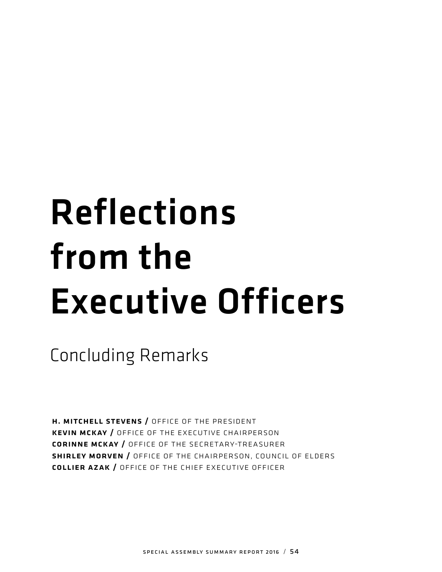# Reflections from the Executive Officers

Concluding Remarks

h. mitchell stevens / office of the president kevin mckay / office of the executive chairperson corinne mckay / office of the secretary-treasurer shirley morven / office of the chairperson, council of elders collier azak / office of the chief executive officer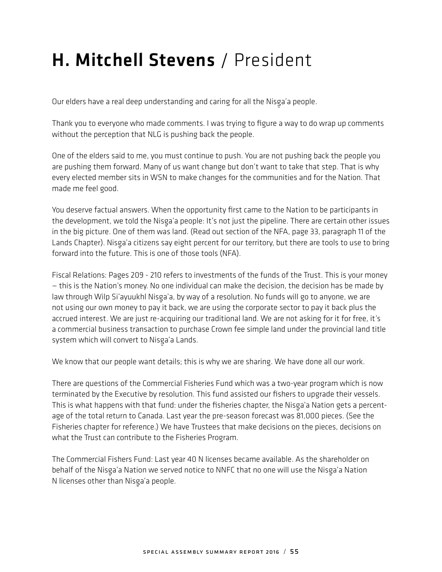# H. Mitchell Stevens / President

Our elders have a real deep understanding and caring for all the Nisga'a people.<br>.

Thank you to everyone who made comments. I was trying to figure a way to do wrap up comments without the perception that NLG is pushing back the people.

One of the elders said to me, you must continue to push. You are not pushing back the people you are pushing them forward. Many of us want change but don't want to take that step. That is why every elected member sits in WSN to make changes for the communities and for the Nation. That made me feel good.

You deserve factual answers. When the opportunity first came to the Nation to be participants in the development, we told the Nisg-a'a people: It's not just the pipeline. There are certain other issues in the big picture. One of them was land. (Read out section of the NFA, page 33, paragraph 11 of the Lands Chapter). Nisga'a citizens say eight percent for our territory, but there are tools to use to bring<br>Sandwich and Sandwich State State (1953) forward into the future. This is one of those tools (NFA).

Fiscal Relations: Pages 209 - 210 refers to investments of the funds of the Trust. This is your money — this is the Nation's money. No one individual can make the decision, the decision has be made by law through Wilp Si'ayuukhl Nisg-a'a, by way of a resolution. No funds will go to anyone, we are not using our own money to pay it back, we are using the corporate sector to pay it back plus the accrued interest. We are just re-acquiring our traditional land. We are not asking for it for free, it's a commercial business transaction to purchase Crown fee simple land under the provincial land title system which will convert to Nisga'a Lands.<br>'

We know that our people want details; this is why we are sharing. We have done all our work.

There are questions of the Commercial Fisheries Fund which was a two-year program which is now terminated by the Executive by resolution. This fund assisted our fishers to upgrade their vessels. This is what happens with that fund: under the fisheries chapter, the Nisga'a Nation gets a percentage of the total return to Canada. Last year the pre-season forecast was 81,000 pieces. (See the Fisheries chapter for reference.) We have Trustees that make decisions on the pieces, decisions on what the Trust can contribute to the Fisheries Program.

The Commercial Fishers Fund: Last year 40 N licenses became available. As the shareholder on behalf of the Nisga'a Nation we served notice to NNFC that no one will use the Nisga'a Nation<br>NU N licenses other than Nisga'a people.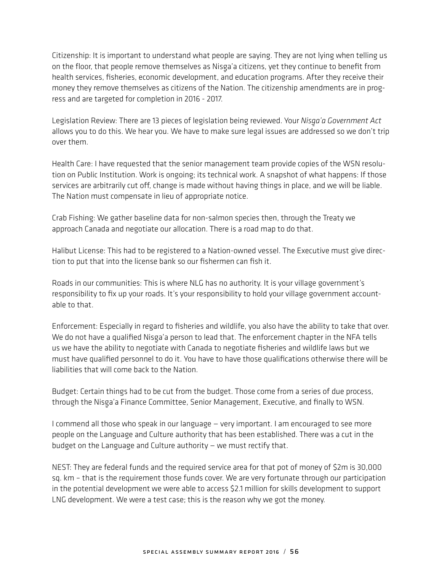Citizenship: It is important to understand what people are saying. They are not lying when telling us on the floor, that people remove themselves as Nisga'a citizens, yet they continue to benefit from<br>health as since fished in the second wisdom as a state of a state of the second floor the second state. health services, fisheries, economic development, and education programs. After they receive their money they remove themselves as citizens of the Nation. The citizenship amendments are in progress and are targeted for completion in 2016 - 2017.

Legislation Review: There are 13 pieces of legislation being reviewed. Your *Nisg-a'a Government Act* allows you to do this. We hear you. We have to make sure legal issues are addressed so we don't trip over them.

Health Care: I have requested that the senior management team provide copies of the WSN resolution on Public Institution. Work is ongoing; its technical work. A snapshot of what happens: If those services are arbitrarily cut off, change is made without having things in place, and we will be liable. The Nation must compensate in lieu of appropriate notice.

Crab Fishing: We gather baseline data for non-salmon species then, through the Treaty we approach Canada and negotiate our allocation. There is a road map to do that.

Halibut License: This had to be registered to a Nation-owned vessel. The Executive must give direction to put that into the license bank so our fishermen can fish it.

Roads in our communities: This is where NLG has no authority. It is your village government's responsibility to fix up your roads. It's your responsibility to hold your village government accountable to that.

Enforcement: Especially in regard to fisheries and wildlife, you also have the ability to take that over. We do not have a qualified Nisga'a person to lead that. The enforcement chapter in the NFA tells<br>Also a the entire that the constitution is formulated a secretary fished as a statistic leader in us we have the ability to negotiate with Canada to negotiate fisheries and wildlife laws but we must have qualified personnel to do it. You have to have those qualifications otherwise there will be liabilities that will come back to the Nation.

Budget: Certain things had to be cut from the budget. Those come from a series of due process, through the Nisga'a Finance Committee, Senior Management, Executive, and finally to WSN.<br>.

I commend all those who speak in our language — very important. I am encouraged to see more people on the Language and Culture authority that has been established. There was a cut in the budget on the Language and Culture authority — we must rectify that.

NEST: They are federal funds and the required service area for that pot of money of \$2m is 30,000 sq. km – that is the requirement those funds cover. We are very fortunate through our participation in the potential development we were able to access \$2.1 million for skills development to support LNG development. We were a test case; this is the reason why we got the money.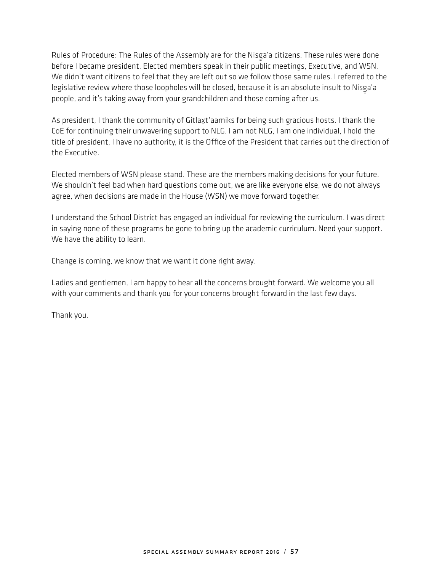Rules of Procedure: The Rules of the Assembly are for the Nisg-a'a citizens. These rules were done before I became president. Elected members speak in their public meetings, Executive, and WSN. We didn't want citizens to feel that they are left out so we follow those same rules. I referred to the legislative review where those loopholes will be closed, because it is an absolute insult to Nisg-a'a people, and it's taking away from your grandchildren and those coming after us.

As president, I thank the community of Gitlaxt'aamiks for being such gracious hosts. I thank the CoE for continuing their unwavering support to NLG. I am not NLG, I am one individual, I hold the title of president, I have no authority, it is the Office of the President that carries out the direction of the Executive.

Elected members of WSN please stand. These are the members making decisions for your future. We shouldn't feel bad when hard questions come out, we are like everyone else, we do not always agree, when decisions are made in the House (WSN) we move forward together.

I understand the School District has engaged an individual for reviewing the curriculum. I was direct in saying none of these programs be gone to bring up the academic curriculum. Need your support. We have the ability to learn.

Change is coming, we know that we want it done right away.

Ladies and gentlemen, I am happy to hear all the concerns brought forward. We welcome you all with your comments and thank you for your concerns brought forward in the last few days.

Thank you.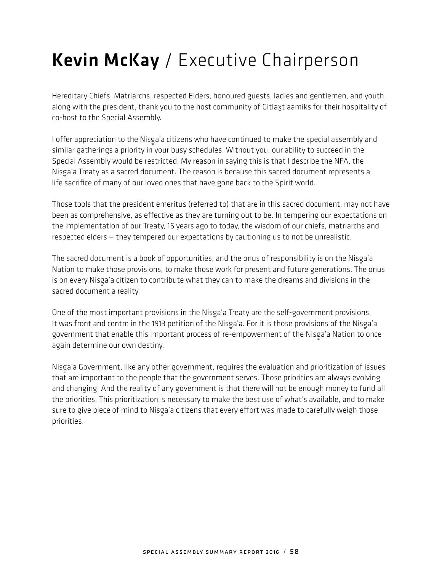# Kevin McKay / Executive Chairperson

Hereditary Chiefs, Matriarchs, respected Elders, honoured guests, ladies and gentlemen, and youth, along with the president, thank you to the host community of Gitlaxt'aamiks for their hospitality of co-host to the Special Assembly.

I offer appreciation to the Nisga'a citizens who have continued to make the special assembly and<br>also have continued to the special continued the Miller description of the special continuity similar gatherings a priority in your busy schedules. Without you, our ability to succeed in the Special Assembly would be restricted. My reason in saying this is that I describe the NFA, the Nisga'a Treaty as a sacred document. The reason is because this sacred document represents a<br>We are if the afternational contract the sacred that he can be the stational document represents a life sacrifice of many of our loved ones that have gone back to the Spirit world.

Those tools that the president emeritus (referred to) that are in this sacred document, may not have been as comprehensive, as effective as they are turning out to be. In tempering our expectations on the implementation of our Treaty, 16 years ago to today, the wisdom of our chiefs, matriarchs and respected elders — they tempered our expectations by cautioning us to not be unrealistic.

The sacred document is a book of opportunities, and the onus of responsibility is on the Nisga'a<br>Alating to and a thermal is in the case of the second for a second seal for a second constitution. The case of Nation to make those provisions, to make those work for present and future generations. The onus is on every Nisg-a'a citizen to contribute what they can to make the dreams and divisions in the sacred document a reality.

One of the most important provisions in the Nisga'a Treaty are the self-government provisions.<br>It are faced and restrict the 1913 politics of the Nissa's Facilitations are the self-line Missa' It was front and centre in the 1913 petition of the Nisga'a. For it is those provisions of the Nisga'a<br>and a second that contract is the complete the complete second for a second of the Nissa's National second government that enable this important process of re-empowerment of the Nisg-a'a Nation to once again determine our own destiny.

Nisg-a'a Government, like any other government, requires the evaluation and prioritization of issues that are important to the people that the government serves. Those priorities are always evolving and changing. And the reality of any government is that there will not be enough money to fund all the priorities. This prioritization is necessary to make the best use of what's available, and to make sure to give piece of mind to Nisga'a citizens that every effort was made to carefully weigh those<br>. priorities.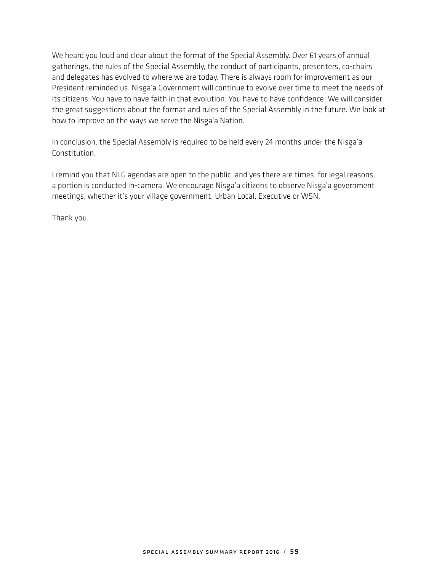We heard you loud and clear about the format of the Special Assembly. Over 61 years of annual gatherings, the rules of the Special Assembly, the conduct of participants, presenters, co-chairs and delegates has evolved to where we are today. There is always room for improvement as our President reminded us. Nisga'a Government will continue to evolve over time to meet the needs of its citizens. You have to have faith in that evolution. You have to have confidence. We will consider the great suggestions about the format and rules of the Special Assembly in the future. We look at how to improve on the ways we serve the Nisga'a Nation.

In conclusion, the Special Assembly is required to be held every 24 months under the Nisga'a<br>Canality tisse Constitution.

I remind you that NLG agendas are open to the public, and yes there are times, for legal reasons, a portion is conducted in-camera. We encourage Nisga'a citizens to observe Nisga'a government meetings, whether it's your village government, Urban Local, Executive or WSN.

Thank you.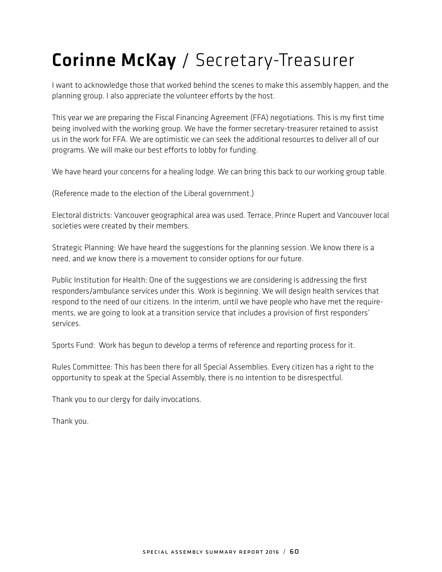# Corinne McKay / Secretary-Treasurer

I want to acknowledge those that worked behind the scenes to make this assembly happen, and the planning group. I also appreciate the volunteer efforts by the host.

This year we are preparing the Fiscal Financing Agreement (FFA) negotiations. This is my first time being involved with the working group. We have the former secretary-treasurer retained to assist us in the work for FFA. We are optimistic we can seek the additional resources to deliver all of our programs. We will make our best efforts to lobby for funding.

We have heard your concerns for a healing lodge. We can bring this back to our working group table.

(Reference made to the election of the Liberal government.)

Electoral districts: Vancouver geographical area was used. Terrace, Prince Rupert and Vancouver local societies were created by their members.

Strategic Planning: We have heard the suggestions for the planning session. We know there is a need, and we know there is a movement to consider options for our future.

Public Institution for Health: One of the suggestions we are considering is addressing the first responders/ambulance services under this. Work is beginning. We will design health services that respond to the need of our citizens. In the interim, until we have people who have met the requirements, we are going to look at a transition service that includes a provision of first responders' services.

Sports Fund: Work has begun to develop a terms of reference and reporting process for it.

Rules Committee: This has been there for all Special Assemblies. Every citizen has a right to the opportunity to speak at the Special Assembly, there is no intention to be disrespectful.

Thank you to our clergy for daily invocations.

Thank you.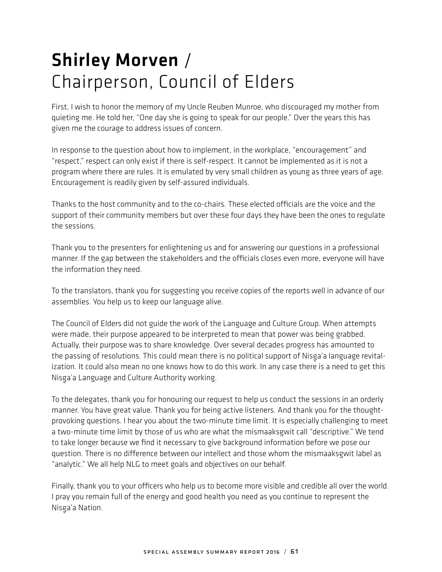# Shirley Morven / Chairperson, Council of Elders

First, I wish to honor the memory of my Uncle Reuben Munroe, who discouraged my mother from quieting me. He told her, "One day she is going to speak for our people." Over the years this has given me the courage to address issues of concern.

In response to the question about how to implement, in the workplace, "encouragement" and "respect," respect can only exist if there is self-respect. It cannot be implemented as it is not a program where there are rules. It is emulated by very small children as young as three years of age. Encouragement is readily given by self-assured individuals.

Thanks to the host community and to the co-chairs. These elected officials are the voice and the support of their community members but over these four days they have been the ones to regulate the sessions.

Thank you to the presenters for enlightening us and for answering our questions in a professional manner. If the gap between the stakeholders and the officials closes even more, everyone will have the information they need.

To the translators, thank you for suggesting you receive copies of the reports well in advance of our assemblies. You help us to keep our language alive.

The Council of Elders did not guide the work of the Language and Culture Group. When attempts were made, their purpose appeared to be interpreted to mean that power was being grabbed. Actually, their purpose was to share knowledge. Over several decades progress has amounted to the passing of resolutions. This could mean there is no political support of Nisga'a language revital-<br>In all an India language reviewed the collection of this contribution and the contribution and the collection ization. It could also mean no one knows how to do this work. In any case there is a need to get this Nisga'a Language and Culture Authority working.<br>'

To the delegates, thank you for honouring our request to help us conduct the sessions in an orderly manner. You have great value. Thank you for being active listeners. And thank you for the thoughtprovoking questions. I hear you about the two-minute time limit. It is especially challenging to meet a two-minute time limit by those of us who are what the mismaaksgwit call "descriptive." We tend to take longer because we find it necessary to give background information before we pose our question. There is no difference between our intellect and those whom the mismaaksgwit label as "analytic." We all help NLG to meet goals and objectives on our behalf.

Finally, thank you to your officers who help us to become more visible and credible all over the world. I pray you remain full of the energy and good health you need as you continue to represent the Nisga'a Nation.<br>'